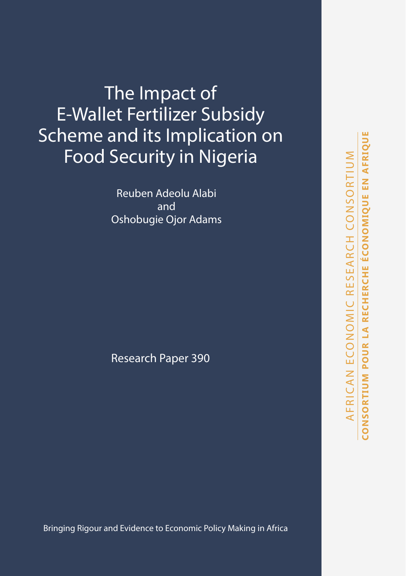The Impact of E-Wallet Fertilizer Subsidy Scheme and its Implication on Food Security in Nigeria

> Reuben Adeolu Alabi and Oshobugie Ojor Adams

Research Paper 390

Bringing Rigour and Evidence to Economic Policy Making in Africa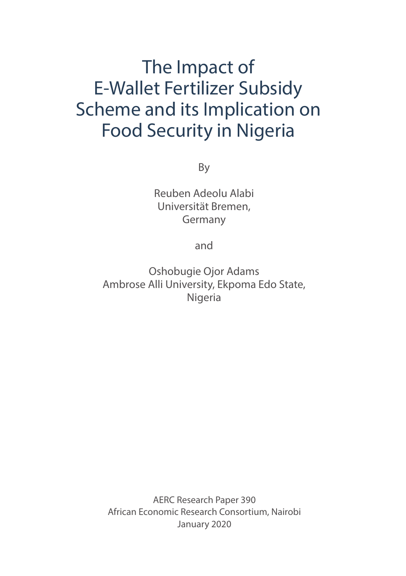# The Impact of E-Wallet Fertilizer Subsidy Scheme and its Implication on Food Security in Nigeria

By

Reuben Adeolu Alabi Universität Bremen, Germany

and

Oshobugie Ojor Adams Ambrose Alli University, Ekpoma Edo State, Nigeria

AERC Research Paper 390 African Economic Research Consortium, Nairobi January 2020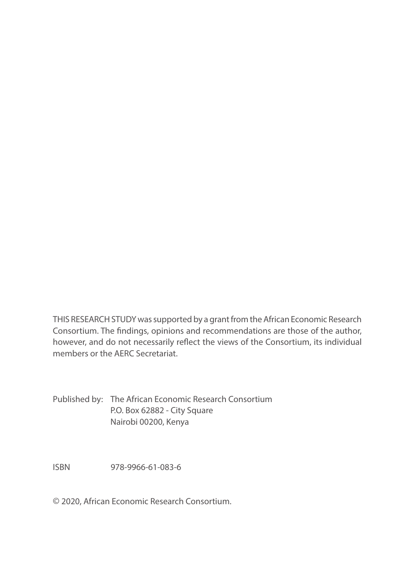THIS RESEARCH STUDY was supported by a grant from the African Economic Research Consortium. The findings, opinions and recommendations are those of the author, however, and do not necessarily reflect the views of the Consortium, its individual members or the AERC Secretariat.

Published by: The African Economic Research Consortium P.O. Box 62882 - City Square Nairobi 00200, Kenya

ISBN 978-9966-61-083-6

© 2020, African Economic Research Consortium.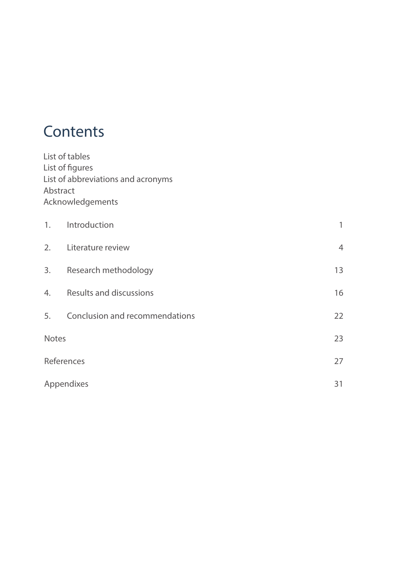## **Contents**

List of tables List of figures List of abbreviations and acronyms Abstract Acknowledgements

| 1.           | Introduction                   |                |
|--------------|--------------------------------|----------------|
| 2.           | Literature review              | $\overline{4}$ |
| 3.           | Research methodology           | 13             |
| 4.           | Results and discussions        | 16             |
| 5.           | Conclusion and recommendations | 22             |
| <b>Notes</b> |                                | 23             |
|              | References                     | 27             |
|              | Appendixes                     | 31             |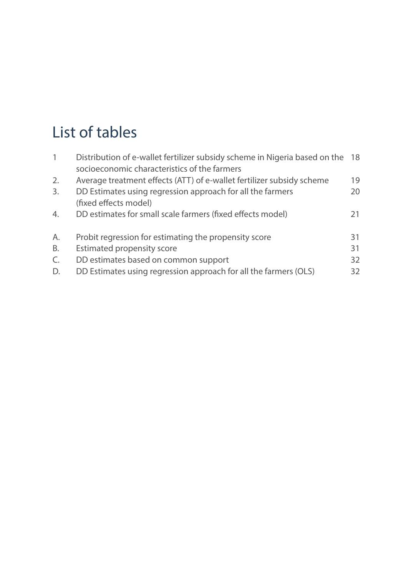# List of tables

| $\mathbf{1}$ | Distribution of e-wallet fertilizer subsidy scheme in Nigeria based on the 18 |    |
|--------------|-------------------------------------------------------------------------------|----|
|              | socioeconomic characteristics of the farmers                                  |    |
| 2.           | Average treatment effects (ATT) of e-wallet fertilizer subsidy scheme         | 19 |
| 3.           | DD Estimates using regression approach for all the farmers                    | 20 |
|              | (fixed effects model)                                                         |    |
| 4.           | DD estimates for small scale farmers (fixed effects model)                    | 21 |
| Α.           | Probit regression for estimating the propensity score                         | 31 |
| В.           | Estimated propensity score                                                    | 31 |
| C.           | DD estimates based on common support                                          | 32 |
| D.           | DD Estimates using regression approach for all the farmers (OLS)              | 32 |
|              |                                                                               |    |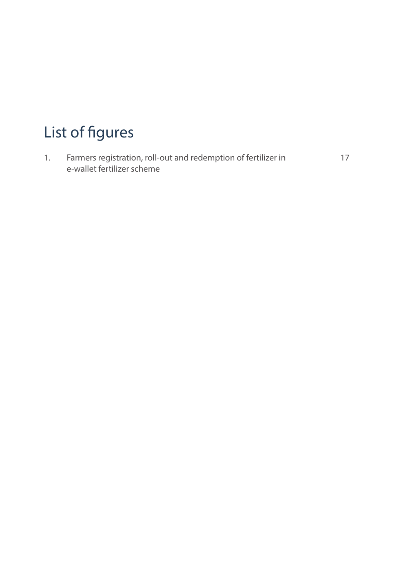# List of figures

1. Farmers registration, roll-out and redemption of fertilizer in 17 e-wallet fertilizer scheme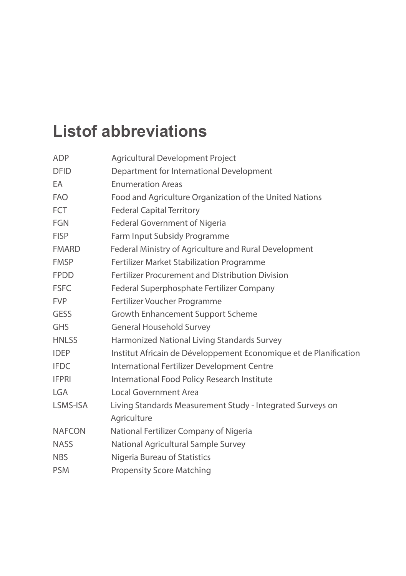# **Listof abbreviations**

| <b>ADP</b>    | Agricultural Development Project                                  |
|---------------|-------------------------------------------------------------------|
| <b>DFID</b>   | Department for International Development                          |
| EA            | <b>Enumeration Areas</b>                                          |
| <b>FAO</b>    | Food and Agriculture Organization of the United Nations           |
| <b>FCT</b>    | <b>Federal Capital Territory</b>                                  |
| <b>FGN</b>    | Federal Government of Nigeria                                     |
| <b>FISP</b>   | Farm Input Subsidy Programme                                      |
| <b>FMARD</b>  | Federal Ministry of Agriculture and Rural Development             |
| <b>FMSP</b>   | Fertilizer Market Stabilization Programme                         |
| <b>FPDD</b>   | <b>Fertilizer Procurement and Distribution Division</b>           |
| <b>FSFC</b>   | Federal Superphosphate Fertilizer Company                         |
| <b>FVP</b>    | Fertilizer Voucher Programme                                      |
| <b>GESS</b>   | <b>Growth Enhancement Support Scheme</b>                          |
| <b>GHS</b>    | <b>General Household Survey</b>                                   |
| <b>HNLSS</b>  | Harmonized National Living Standards Survey                       |
| <b>IDEP</b>   | Institut Africain de Développement Economique et de Planification |
| <b>IFDC</b>   | International Fertilizer Development Centre                       |
| <b>IFPRI</b>  | International Food Policy Research Institute                      |
| <b>LGA</b>    | Local Government Area                                             |
| LSMS-ISA      | Living Standards Measurement Study - Integrated Surveys on        |
|               | Agriculture                                                       |
| <b>NAFCON</b> | National Fertilizer Company of Nigeria                            |
| <b>NASS</b>   | National Agricultural Sample Survey                               |
| <b>NBS</b>    | Nigeria Bureau of Statistics                                      |
| <b>PSM</b>    | <b>Propensity Score Matching</b>                                  |
|               |                                                                   |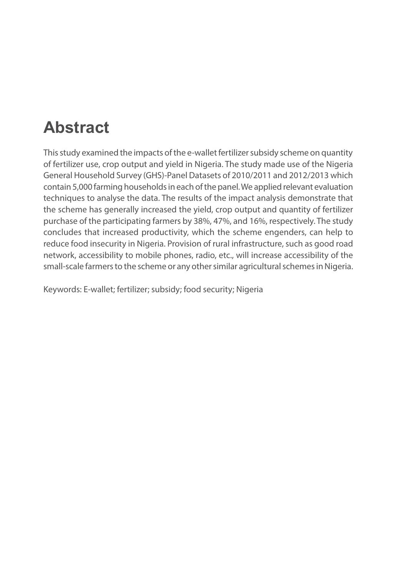# **Abstract**

This study examined the impacts of the e-wallet fertilizer subsidy scheme on quantity of fertilizer use, crop output and yield in Nigeria. The study made use of the Nigeria General Household Survey (GHS)-Panel Datasets of 2010/2011 and 2012/2013 which contain 5,000 farming households in each of the panel. We applied relevant evaluation techniques to analyse the data. The results of the impact analysis demonstrate that the scheme has generally increased the yield, crop output and quantity of fertilizer purchase of the participating farmers by 38%, 47%, and 16%, respectively. The study concludes that increased productivity, which the scheme engenders, can help to reduce food insecurity in Nigeria. Provision of rural infrastructure, such as good road network, accessibility to mobile phones, radio, etc., will increase accessibility of the small-scale farmers to the scheme or any other similar agricultural schemes in Nigeria.

Keywords: E-wallet; fertilizer; subsidy; food security; Nigeria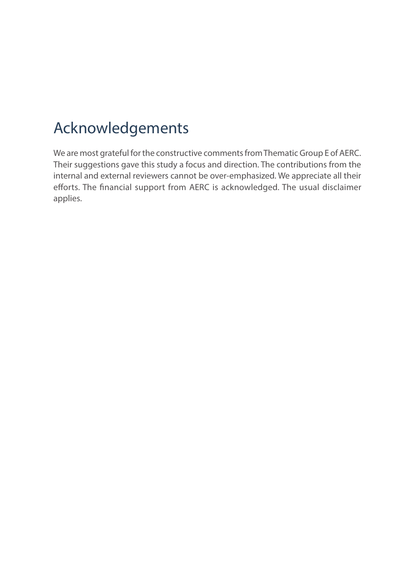# Acknowledgements

We are most grateful for the constructive comments from Thematic Group E of AERC. Their suggestions gave this study a focus and direction. The contributions from the internal and external reviewers cannot be over-emphasized. We appreciate all their efforts. The financial support from AERC is acknowledged. The usual disclaimer applies.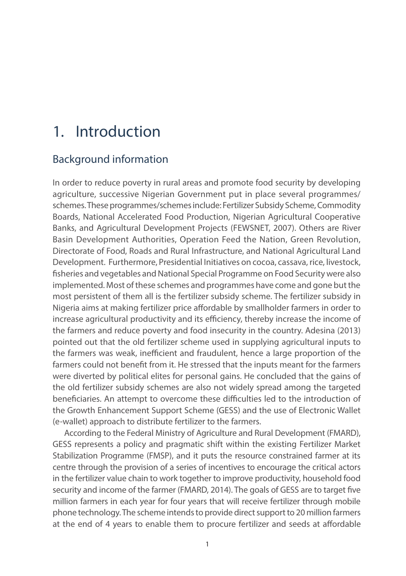## 1. Introduction

#### Background information

In order to reduce poverty in rural areas and promote food security by developing agriculture, successive Nigerian Government put in place several programmes/ schemes. These programmes/schemes include: Fertilizer Subsidy Scheme, Commodity Boards, National Accelerated Food Production, Nigerian Agricultural Cooperative Banks, and Agricultural Development Projects (FEWSNET, 2007). Others are River Basin Development Authorities, Operation Feed the Nation, Green Revolution, Directorate of Food, Roads and Rural Infrastructure, and National Agricultural Land Development. Furthermore, Presidential Initiatives on cocoa, cassava, rice, livestock, fisheries and vegetables and National Special Programme on Food Security were also implemented. Most of these schemes and programmes have come and gone but the most persistent of them all is the fertilizer subsidy scheme. The fertilizer subsidy in Nigeria aims at making fertilizer price affordable by smallholder farmers in order to increase agricultural productivity and its efficiency, thereby increase the income of the farmers and reduce poverty and food insecurity in the country. Adesina (2013) pointed out that the old fertilizer scheme used in supplying agricultural inputs to the farmers was weak, inefficient and fraudulent, hence a large proportion of the farmers could not benefit from it. He stressed that the inputs meant for the farmers were diverted by political elites for personal gains. He concluded that the gains of the old fertilizer subsidy schemes are also not widely spread among the targeted beneficiaries. An attempt to overcome these difficulties led to the introduction of the Growth Enhancement Support Scheme (GESS) and the use of Electronic Wallet (e-wallet) approach to distribute fertilizer to the farmers.

According to the Federal Ministry of Agriculture and Rural Development (FMARD), GESS represents a policy and pragmatic shift within the existing Fertilizer Market Stabilization Programme (FMSP), and it puts the resource constrained farmer at its centre through the provision of a series of incentives to encourage the critical actors in the fertilizer value chain to work together to improve productivity, household food security and income of the farmer (FMARD, 2014). The goals of GESS are to target five million farmers in each year for four years that will receive fertilizer through mobile phone technology. The scheme intends to provide direct support to 20 million farmers at the end of 4 years to enable them to procure fertilizer and seeds at affordable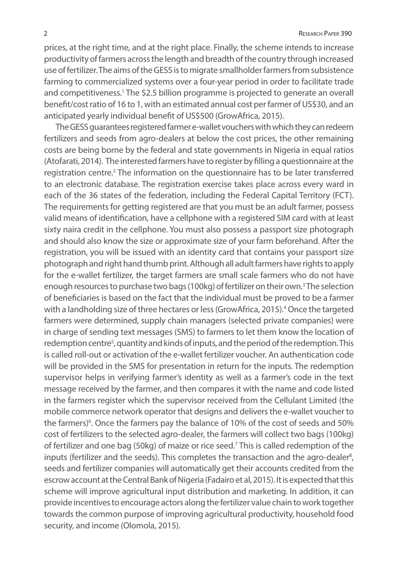prices, at the right time, and at the right place. Finally, the scheme intends to increase productivity of farmers across the length and breadth of the country through increased use of fertilizer. The aims of the GESS is to migrate smallholder farmers from subsistence farming to commercialized systems over a four-year period in order to facilitate trade and competitiveness.<sup>1</sup> The \$2.5 billion programme is projected to generate an overall benefit/cost ratio of 16 to 1, with an estimated annual cost per farmer of US\$30, and an anticipated yearly individual benefit of US\$500 (GrowAfrica, 2015).

The GESS guarantees registered farmer e-wallet vouchers with which they can redeem fertilizers and seeds from agro-dealers at below the cost prices, the other remaining costs are being borne by the federal and state governments in Nigeria in equal ratios (Atofarati, 2014). The interested farmers have to register by filling a questionnaire at the registration centre.<sup>2</sup> The information on the questionnaire has to be later transferred to an electronic database. The registration exercise takes place across every ward in each of the 36 states of the federation, including the Federal Capital Territory (FCT). The requirements for getting registered are that you must be an adult farmer, possess valid means of identification, have a cellphone with a registered SIM card with at least sixty naira credit in the cellphone. You must also possess a passport size photograph and should also know the size or approximate size of your farm beforehand. After the registration, you will be issued with an identity card that contains your passport size photograph and right hand thumb print. Although all adult farmers have rights to apply for the e-wallet fertilizer, the target farmers are small scale farmers who do not have enough resources to purchase two bags (100kg) of fertilizer on their own.<sup>3</sup> The selection of beneficiaries is based on the fact that the individual must be proved to be a farmer with a landholding size of three hectares or less (GrowAfrica, 2015).<sup>4</sup> Once the targeted farmers were determined, supply chain managers (selected private companies) were in charge of sending text messages (SMS) to farmers to let them know the location of redemption centre<sup>5</sup>, quantity and kinds of inputs, and the period of the redemption. This is called roll-out or activation of the e-wallet fertilizer voucher. An authentication code will be provided in the SMS for presentation in return for the inputs. The redemption supervisor helps in verifying farmer's identity as well as a farmer's code in the text message received by the farmer, and then compares it with the name and code listed in the farmers register which the supervisor received from the Cellulant Limited (the mobile commerce network operator that designs and delivers the e-wallet voucher to the farmers)<sup>6</sup>. Once the farmers pay the balance of 10% of the cost of seeds and 50% cost of fertilizers to the selected agro-dealer, the farmers will collect two bags (100kg) of fertilizer and one bag (50kg) of maize or rice seed.<sup>7</sup> This is called redemption of the inputs (fertilizer and the seeds). This completes the transaction and the agro-dealer<sup>8</sup>, seeds and fertilizer companies will automatically get their accounts credited from the escrow account at the Central Bank of Nigeria (Fadairo et al, 2015). It is expected that this scheme will improve agricultural input distribution and marketing. In addition, it can provide incentives to encourage actors along the fertilizer value chain to work together towards the common purpose of improving agricultural productivity, household food security, and income (Olomola, 2015).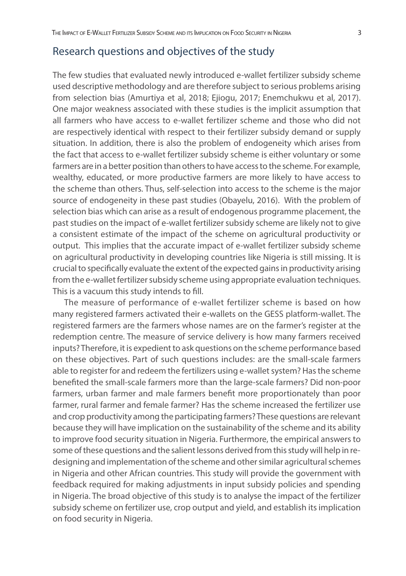#### Research questions and objectives of the study

The few studies that evaluated newly introduced e-wallet fertilizer subsidy scheme used descriptive methodology and are therefore subject to serious problems arising from selection bias (Amurtiya et al, 2018; Ejiogu, 2017; Enemchukwu et al, 2017). One major weakness associated with these studies is the implicit assumption that all farmers who have access to e-wallet fertilizer scheme and those who did not are respectively identical with respect to their fertilizer subsidy demand or supply situation. In addition, there is also the problem of endogeneity which arises from the fact that access to e-wallet fertilizer subsidy scheme is either voluntary or some farmers are in a better position than others to have access to the scheme. For example, wealthy, educated, or more productive farmers are more likely to have access to the scheme than others. Thus, self-selection into access to the scheme is the major source of endogeneity in these past studies (Obayelu, 2016). With the problem of selection bias which can arise as a result of endogenous programme placement, the past studies on the impact of e-wallet fertilizer subsidy scheme are likely not to give a consistent estimate of the impact of the scheme on agricultural productivity or output. This implies that the accurate impact of e-wallet fertilizer subsidy scheme on agricultural productivity in developing countries like Nigeria is still missing. It is crucial to specifically evaluate the extent of the expected gains in productivity arising from the e-wallet fertilizer subsidy scheme using appropriate evaluation techniques. This is a vacuum this study intends to fill.

The measure of performance of e-wallet fertilizer scheme is based on how many registered farmers activated their e-wallets on the GESS platform-wallet. The registered farmers are the farmers whose names are on the farmer's register at the redemption centre. The measure of service delivery is how many farmers received inputs? Therefore, it is expedient to ask questions on the scheme performance based on these objectives. Part of such questions includes: are the small-scale farmers able to register for and redeem the fertilizers using e-wallet system? Has the scheme benefited the small-scale farmers more than the large-scale farmers? Did non-poor farmers, urban farmer and male farmers benefit more proportionately than poor farmer, rural farmer and female farmer? Has the scheme increased the fertilizer use and crop productivity among the participating farmers? These questions are relevant because they will have implication on the sustainability of the scheme and its ability to improve food security situation in Nigeria. Furthermore, the empirical answers to some of these questions and the salient lessons derived from this study will help in redesigning and implementation of the scheme and other similar agricultural schemes in Nigeria and other African countries. This study will provide the government with feedback required for making adjustments in input subsidy policies and spending in Nigeria. The broad objective of this study is to analyse the impact of the fertilizer subsidy scheme on fertilizer use, crop output and yield, and establish its implication on food security in Nigeria.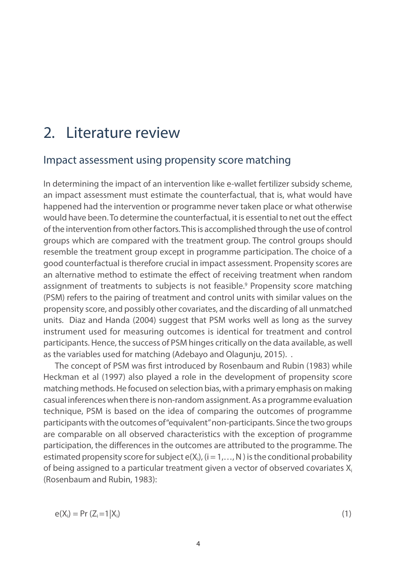## 2. Literature review

#### Impact assessment using propensity score matching

In determining the impact of an intervention like e-wallet fertilizer subsidy scheme, an impact assessment must estimate the counterfactual, that is, what would have happened had the intervention or programme never taken place or what otherwise would have been. To determine the counterfactual, it is essential to net out the effect of the intervention from other factors. This is accomplished through the use of control groups which are compared with the treatment group. The control groups should resemble the treatment group except in programme participation. The choice of a good counterfactual is therefore crucial in impact assessment. Propensity scores are an alternative method to estimate the effect of receiving treatment when random assignment of treatments to subjects is not feasible.<sup>9</sup> Propensity score matching (PSM) refers to the pairing of treatment and control units with similar values on the propensity score, and possibly other covariates, and the discarding of all unmatched units. Diaz and Handa (2004) suggest that PSM works well as long as the survey instrument used for measuring outcomes is identical for treatment and control participants. Hence, the success of PSM hinges critically on the data available, as well as the variables used for matching (Adebayo and Olagunju, 2015). .

The concept of PSM was first introduced by Rosenbaum and Rubin (1983) while Heckman et al (1997) also played a role in the development of propensity score matching methods. He focused on selection bias, with a primary emphasis on making casual inferences when there is non-random assignment. As a programme evaluation technique, PSM is based on the idea of comparing the outcomes of programme participants with the outcomes of "equivalent" non-participants. Since the two groups are comparable on all observed characteristics with the exception of programme participation, the differences in the outcomes are attributed to the programme. The estimated propensity score for subject  $e(X_i)$ ,  $(i = 1,..., N)$  is the conditional probability of being assigned to a particular treatment given a vector of observed covariates  $X_i$ (Rosenbaum and Rubin, 1983):

 $e(X_i) = Pr (Z_i = 1 | X_i$ )  $(1)$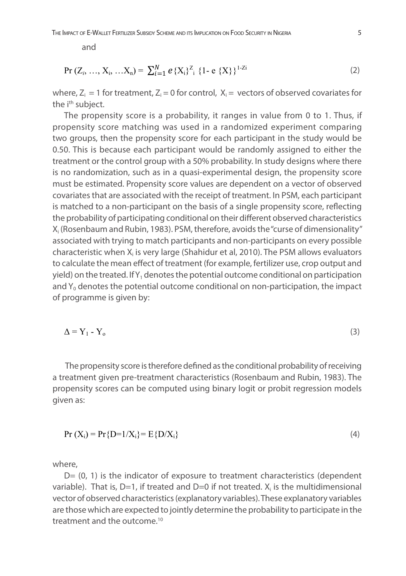and

$$
Pr(Z_i, ..., X_i, ... X_n) = \sum_{i=1}^{N} e\{X_i\}^{Z_i} \{1 - e\{X\}\}^{1-Zi}
$$
 (2)

where,  $Z_i = 1$  for treatment,  $Z_i = 0$  for control,  $X_i =$  vectors of observed covariates for the i<sup>th</sup> subject.

The propensity score is a probability, it ranges in value from 0 to 1. Thus, if propensity score matching was used in a randomized experiment comparing two groups, then the propensity score for each participant in the study would be 0.50. This is because each participant would be randomly assigned to either the treatment or the control group with a 50% probability. In study designs where there is no randomization, such as in a quasi-experimental design, the propensity score must be estimated. Propensity score values are dependent on a vector of observed covariates that are associated with the receipt of treatment. In PSM, each participant is matched to a non-participant on the basis of a single propensity score, reflecting the probability of participating conditional on their different observed characteristics X<sub>i</sub> (Rosenbaum and Rubin, 1983). PSM, therefore, avoids the "curse of dimensionality" associated with trying to match participants and non-participants on every possible characteristic when  $X_i$  is very large (Shahidur et al, 2010). The PSM allows evaluators to calculate the mean effect of treatment (for example, fertilizer use, crop output and yield) on the treated. If  $Y_1$  denotes the potential outcome conditional on participation and  $Y_0$  denotes the potential outcome conditional on non-participation, the impact of programme is given by:

$$
\Delta = Y_1 - Y_0 \tag{3}
$$

 The propensity score is therefore defined as the conditional probability of receiving a treatment given pre-treatment characteristics (Rosenbaum and Rubin, 1983). The propensity scores can be computed using binary logit or probit regression models given as:

$$
Pr(X_i) = Pr\{D=1/X_i\} = E\{D/X_i\}
$$
\n(4)

where,

 $D=$  (0, 1) is the indicator of exposure to treatment characteristics (dependent variable). That is,  $D=1$ , if treated and  $D=0$  if not treated.  $X_i$  is the multidimensional vector of observed characteristics (explanatory variables). These explanatory variables are those which are expected to jointly determine the probability to participate in the treatment and the outcome.10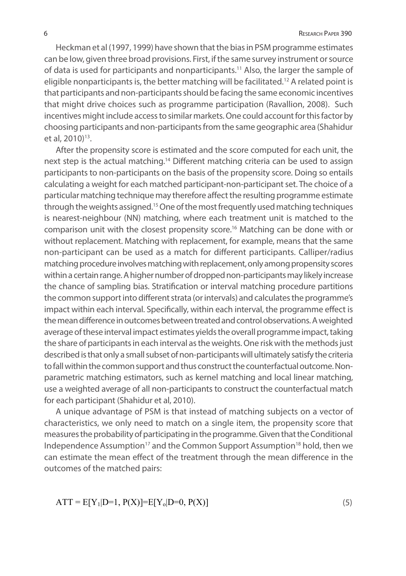Heckman et al (1997, 1999) have shown that the bias in PSM programme estimates can be low, given three broad provisions. First, if the same survey instrument or source of data is used for participants and nonparticipants.11 Also, the larger the sample of eligible nonparticipants is, the better matching will be facilitated.<sup>12</sup> A related point is that participants and non-participants should be facing the same economic incentives that might drive choices such as programme participation (Ravallion, 2008). Such incentives might include access to similar markets. One could account for this factor by choosing participants and non-participants from the same geographic area (Shahidur et al, 2010)<sup>13</sup>.

After the propensity score is estimated and the score computed for each unit, the next step is the actual matching.<sup>14</sup> Different matching criteria can be used to assign participants to non-participants on the basis of the propensity score. Doing so entails calculating a weight for each matched participant-non-participant set. The choice of a particular matching technique may therefore affect the resulting programme estimate through the weights assigned.15 One of the most frequently used matching techniques is nearest-neighbour (NN) matching, where each treatment unit is matched to the comparison unit with the closest propensity score.<sup>16</sup> Matching can be done with or without replacement. Matching with replacement, for example, means that the same non-participant can be used as a match for different participants. Calliper/radius matching procedure involves matching with replacement, only among propensity scores within a certain range. A higher number of dropped non-participants may likely increase the chance of sampling bias. Stratification or interval matching procedure partitions the common support into different strata (or intervals) and calculates the programme's impact within each interval. Specifically, within each interval, the programme effect is the mean difference in outcomes between treated and control observations. A weighted average of these interval impact estimates yields the overall programme impact, taking the share of participants in each interval as the weights. One risk with the methods just described is that only a small subset of non-participants will ultimately satisfy the criteria to fall within the common support and thus construct the counterfactual outcome. Nonparametric matching estimators, such as kernel matching and local linear matching, use a weighted average of all non-participants to construct the counterfactual match for each participant (Shahidur et al, 2010).

A unique advantage of PSM is that instead of matching subjects on a vector of characteristics, we only need to match on a single item, the propensity score that measures the probability of participating in the programme. Given that the Conditional Independence Assumption<sup>17</sup> and the Common Support Assumption<sup>18</sup> hold, then we can estimate the mean effect of the treatment through the mean difference in the outcomes of the matched pairs:

$$
ATT = E[Y_1|D=1, P(X)] = E[Y_0|D=0, P(X)]
$$
\n(5)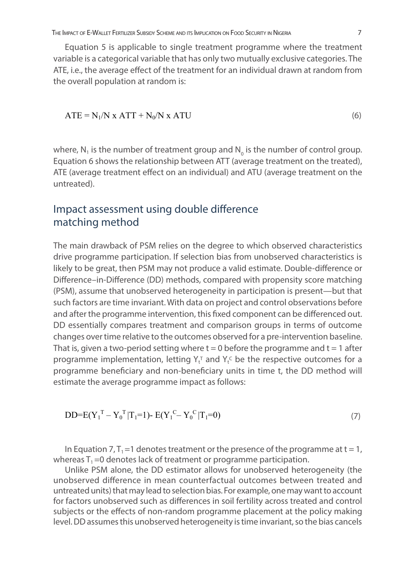Equation 5 is applicable to single treatment programme where the treatment variable is a categorical variable that has only two mutually exclusive categories. The ATE, i.e., the average effect of the treatment for an individual drawn at random from the overall population at random is:

$$
ATE = N_1/N \times ATT + N_0/N \times ATU
$$
 (6)

where, N<sub>1</sub> is the number of treatment group and N<sub>0</sub> is the number of control group. Equation 6 shows the relationship between ATT (average treatment on the treated), ATE (average treatment effect on an individual) and ATU (average treatment on the untreated).

#### Impact assessment using double difference matching method

The main drawback of PSM relies on the degree to which observed characteristics drive programme participation. If selection bias from unobserved characteristics is likely to be great, then PSM may not produce a valid estimate. Double-difference or Difference–in-Difference (DD) methods, compared with propensity score matching (PSM), assume that unobserved heterogeneity in participation is present—but that such factors are time invariant. With data on project and control observations before and after the programme intervention, this fixed component can be differenced out. DD essentially compares treatment and comparison groups in terms of outcome changes over time relative to the outcomes observed for a pre-intervention baseline. That is, given a two-period setting where  $t = 0$  before the programme and  $t = 1$  after programme implementation, letting  $Y_t^T$  and  $Y_t^C$  be the respective outcomes for a programme beneficiary and non-beneficiary units in time t, the DD method will estimate the average programme impact as follows:

$$
DD=E(Y_1^T - Y_0^T|T_1=1) - E(Y_1^C - Y_0^C|T_1=0)
$$
\n(7)

In Equation 7,  $T_1 = 1$  denotes treatment or the presence of the programme at t = 1, whereas  $T_1 = 0$  denotes lack of treatment or programme participation.

Unlike PSM alone, the DD estimator allows for unobserved heterogeneity (the unobserved difference in mean counterfactual outcomes between treated and untreated units) that may lead to selection bias. For example, one may want to account for factors unobserved such as differences in soil fertility across treated and control subjects or the effects of non-random programme placement at the policy making level. DD assumes this unobserved heterogeneity is time invariant, so the bias cancels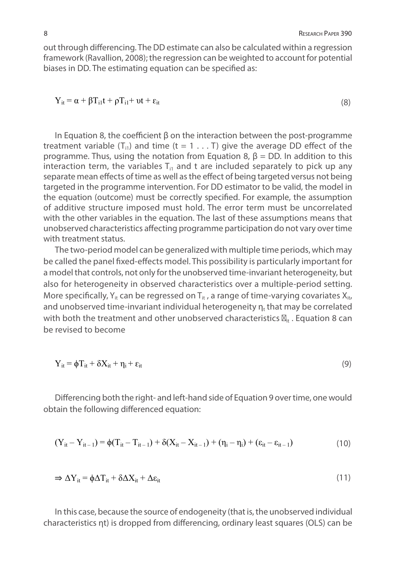out through differencing. The DD estimate can also be calculated within a regression framework (Ravallion, 2008); the regression can be weighted to account for potential biases in DD. The estimating equation can be specified as:

$$
Y_{it} = \alpha + \beta T_{i1}t + \rho T_{i1} + \nu t + \varepsilon_{it}
$$
\n(8)

In Equation 8, the coefficient β on the interaction between the post-programme treatment variable  $(T_{i1})$  and time  $(t = 1 ... T)$  give the average DD effect of the programme. Thus, using the notation from Equation 8,  $β = DD$ . In addition to this interaction term, the variables  $T_{i1}$  and t are included separately to pick up any separate mean effects of time as well as the effect of being targeted versus not being targeted in the programme intervention. For DD estimator to be valid, the model in the equation (outcome) must be correctly specified. For example, the assumption of additive structure imposed must hold. The error term must be uncorrelated with the other variables in the equation. The last of these assumptions means that unobserved characteristics affecting programme participation do not vary over time with treatment status.

The two-period model can be generalized with multiple time periods, which may be called the panel fixed-effects model. This possibility is particularly important for a model that controls, not only for the unobserved time-invariant heterogeneity, but also for heterogeneity in observed characteristics over a multiple-period setting. More specifically,  $Y_{it}$  can be regressed on  $T_{it}$ , a range of time-varying covariates  $X_{it}$ and unobserved time-invariant individual heterogeneity  $n_t$  that may be correlated with both the treatment and other unobserved characteristics  $_{it}$ . Equation 8 can be revised to become

$$
Y_{it} = \phi T_{it} + \delta X_{it} + \eta_i + \varepsilon_{it}
$$
\n<sup>(9)</sup>

Differencing both the right- and left-hand side of Equation 9 over time, one would obtain the following differenced equation:

$$
(Y_{it} - Y_{it-1}) = \phi(T_{it} - T_{it-1}) + \delta(X_{it} - X_{it-1}) + (\eta_i - \eta_i) + (\epsilon_{it} - \epsilon_{it-1})
$$
\n(10)

$$
\Rightarrow \Delta Y_{it} = \phi \Delta T_{it} + \delta \Delta X_{it} + \Delta \varepsilon_{it}
$$
\n(11)

In this case, because the source of endogeneity (that is, the unobserved individual characteristics ηt) is dropped from differencing, ordinary least squares (OLS) can be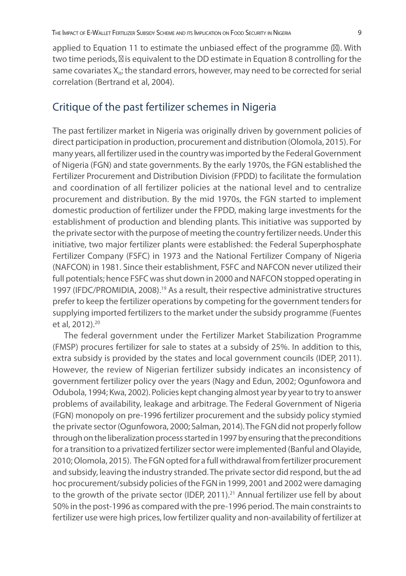applied to Equation 11 to estimate the unbiased effect of the programme ( ). With two time periods, is equivalent to the DD estimate in Equation 8 controlling for the same covariates  $X_{it}$ ; the standard errors, however, may need to be corrected for serial correlation (Bertrand et al, 2004).

#### Critique of the past fertilizer schemes in Nigeria

The past fertilizer market in Nigeria was originally driven by government policies of direct participation in production, procurement and distribution (Olomola, 2015). For many years, all fertilizer used in the country was imported by the Federal Government of Nigeria (FGN) and state governments. By the early 1970s, the FGN established the Fertilizer Procurement and Distribution Division (FPDD) to facilitate the formulation and coordination of all fertilizer policies at the national level and to centralize procurement and distribution. By the mid 1970s, the FGN started to implement domestic production of fertilizer under the FPDD, making large investments for the establishment of production and blending plants. This initiative was supported by the private sector with the purpose of meeting the country fertilizer needs. Under this initiative, two major fertilizer plants were established: the Federal Superphosphate Fertilizer Company (FSFC) in 1973 and the National Fertilizer Company of Nigeria (NAFCON) in 1981. Since their establishment, FSFC and NAFCON never utilized their full potentials; hence FSFC was shut down in 2000 and NAFCON stopped operating in 1997 (IFDC/PROMIDIA, 2008).<sup>19</sup> As a result, their respective administrative structures prefer to keep the fertilizer operations by competing for the government tenders for supplying imported fertilizers to the market under the subsidy programme (Fuentes et al, 2012).20

The federal government under the Fertilizer Market Stabilization Programme (FMSP) procures fertilizer for sale to states at a subsidy of 25%. In addition to this, extra subsidy is provided by the states and local government councils (IDEP, 2011). However, the review of Nigerian fertilizer subsidy indicates an inconsistency of government fertilizer policy over the years (Nagy and Edun, 2002; Ogunfowora and Odubola, 1994; Kwa, 2002). Policies kept changing almost year by year to try to answer problems of availability, leakage and arbitrage. The Federal Government of Nigeria (FGN) monopoly on pre-1996 fertilizer procurement and the subsidy policy stymied the private sector (Ogunfowora, 2000; Salman, 2014). The FGN did not properly follow through on the liberalization process started in 1997 by ensuring that the preconditions for a transition to a privatized fertilizer sector were implemented (Banful and Olayide, 2010; Olomola, 2015). The FGN opted for a full withdrawal from fertilizer procurement and subsidy, leaving the industry stranded. The private sector did respond, but the ad hoc procurement/subsidy policies of the FGN in 1999, 2001 and 2002 were damaging to the growth of the private sector (IDEP, 2011).<sup>21</sup> Annual fertilizer use fell by about 50% in the post-1996 as compared with the pre-1996 period. The main constraints to fertilizer use were high prices, low fertilizer quality and non-availability of fertilizer at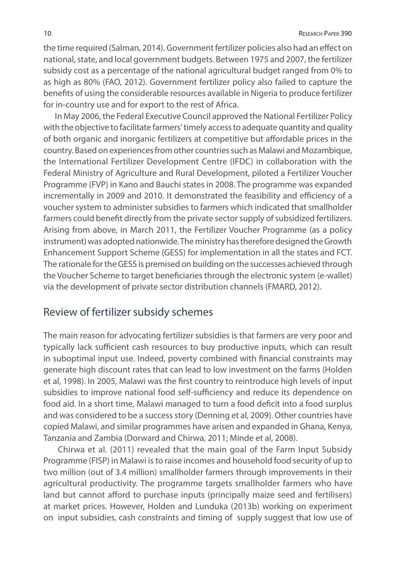the time required (Salman, 2014). Government fertilizer policies also had an effect on national, state, and local government budgets. Between 1975 and 2007, the fertilizer subsidy cost as a percentage of the national agricultural budget ranged from 0% to as high as 80% (FAO, 2012). Government fertilizer policy also failed to capture the benefits of using the considerable resources available in Nigeria to produce fertilizer for in-country use and for export to the rest of Africa.

In May 2006, the Federal Executive Council approved the National Fertilizer Policy with the objective to facilitate farmers' timely access to adequate quantity and quality of both organic and inorganic fertilizers at competitive but affordable prices in the country. Based on experiences from other countries such as Malawi and Mozambique, the International Fertilizer Development Centre (IFDC) in collaboration with the Federal Ministry of Agriculture and Rural Development, piloted a Fertilizer Voucher Programme (FVP) in Kano and Bauchi states in 2008. The programme was expanded incrementally in 2009 and 2010. It demonstrated the feasibility and efficiency of a voucher system to administer subsidies to farmers which indicated that smallholder farmers could benefit directly from the private sector supply of subsidized fertilizers. Arising from above, in March 2011, the Fertilizer Voucher Programme (as a policy instrument) was adopted nationwide. The ministry has therefore designed the Growth Enhancement Support Scheme (GESS) for implementation in all the states and FCT. The rationale for the GESS is premised on building on the successes achieved through the Voucher Scheme to target beneficiaries through the electronic system (e-wallet) via the development of private sector distribution channels (FMARD, 2012).

#### Review of fertilizer subsidy schemes

The main reason for advocating fertilizer subsidies is that farmers are very poor and typically lack sufficient cash resources to buy productive inputs, which can result in suboptimal input use. Indeed, poverty combined with financial constraints may generate high discount rates that can lead to low investment on the farms (Holden et al, 1998). In 2005, Malawi was the first country to reintroduce high levels of input subsidies to improve national food self-sufficiency and reduce its dependence on food aid. In a short time, Malawi managed to turn a food deficit into a food surplus and was considered to be a success story (Denning et al, 2009). Other countries have copied Malawi, and similar programmes have arisen and expanded in Ghana, Kenya, Tanzania and Zambia (Dorward and Chirwa, 2011; Minde et al, 2008).

 Chirwa et al. (2011) revealed that the main goal of the Farm Input Subsidy Programme (FISP) in Malawi is to raise incomes and household food security of up to two million (out of 3.4 million) smallholder farmers through improvements in their agricultural productivity. The programme targets smallholder farmers who have land but cannot afford to purchase inputs (principally maize seed and fertilisers) at market prices. However, Holden and Lunduka (2013b) working on experiment on input subsidies, cash constraints and timing of supply suggest that low use of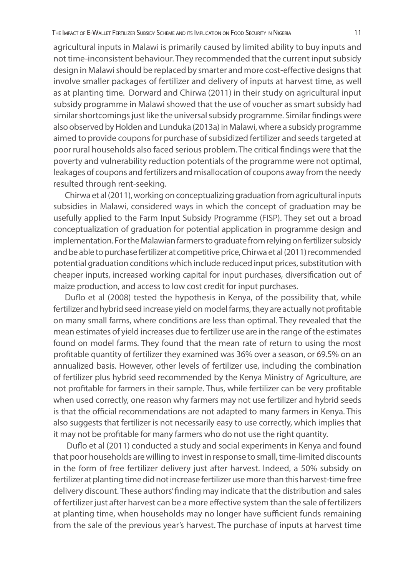agricultural inputs in Malawi is primarily caused by limited ability to buy inputs and not time-inconsistent behaviour. They recommended that the current input subsidy design in Malawi should be replaced by smarter and more cost-effective designs that involve smaller packages of fertilizer and delivery of inputs at harvest time, as well as at planting time. Dorward and Chirwa (2011) in their study on agricultural input subsidy programme in Malawi showed that the use of voucher as smart subsidy had similar shortcomings just like the universal subsidy programme. Similar findings were also observed by Holden and Lunduka (2013a) in Malawi, where a subsidy programme aimed to provide coupons for purchase of subsidized fertilizer and seeds targeted at poor rural households also faced serious problem. The critical findings were that the poverty and vulnerability reduction potentials of the programme were not optimal, leakages of coupons and fertilizers and misallocation of coupons away from the needy resulted through rent-seeking.

Chirwa et al (2011), working on conceptualizing graduation from agricultural inputs subsidies in Malawi, considered ways in which the concept of graduation may be usefully applied to the Farm Input Subsidy Programme (FISP). They set out a broad conceptualization of graduation for potential application in programme design and implementation. For the Malawian farmers to graduate from relying on fertilizer subsidy and be able to purchase fertilizer at competitive price, Chirwa et al (2011) recommended potential graduation conditions which include reduced input prices, substitution with cheaper inputs, increased working capital for input purchases, diversification out of maize production, and access to low cost credit for input purchases.

Duflo et al (2008) tested the hypothesis in Kenya, of the possibility that, while fertilizer and hybrid seed increase yield on model farms, they are actually not profitable on many small farms, where conditions are less than optimal. They revealed that the mean estimates of yield increases due to fertilizer use are in the range of the estimates found on model farms. They found that the mean rate of return to using the most profitable quantity of fertilizer they examined was 36% over a season, or 69.5% on an annualized basis. However, other levels of fertilizer use, including the combination of fertilizer plus hybrid seed recommended by the Kenya Ministry of Agriculture, are not profitable for farmers in their sample. Thus, while fertilizer can be very profitable when used correctly, one reason why farmers may not use fertilizer and hybrid seeds is that the official recommendations are not adapted to many farmers in Kenya. This also suggests that fertilizer is not necessarily easy to use correctly, which implies that it may not be profitable for many farmers who do not use the right quantity.

 Duflo et al (2011) conducted a study and social experiments in Kenya and found that poor households are willing to invest in response to small, time-limited discounts in the form of free fertilizer delivery just after harvest. Indeed, a 50% subsidy on fertilizer at planting time did not increase fertilizer use more than this harvest-time free delivery discount. These authors' finding may indicate that the distribution and sales of fertilizer just after harvest can be a more effective system than the sale of fertilizers at planting time, when households may no longer have sufficient funds remaining from the sale of the previous year's harvest. The purchase of inputs at harvest time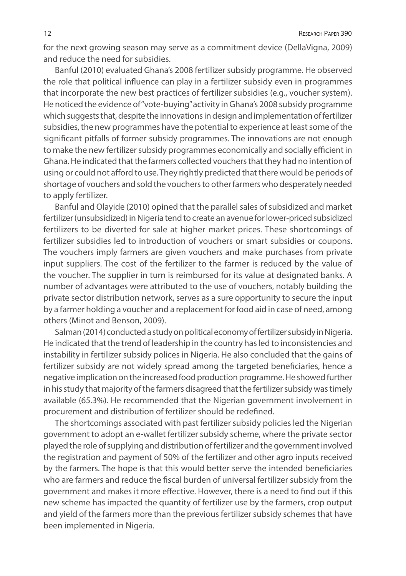for the next growing season may serve as a commitment device (DellaVigna, 2009) and reduce the need for subsidies.

Banful (2010) evaluated Ghana's 2008 fertilizer subsidy programme. He observed the role that political influence can play in a fertilizer subsidy even in programmes that incorporate the new best practices of fertilizer subsidies (e.g., voucher system). He noticed the evidence of "vote-buying" activity in Ghana's 2008 subsidy programme which suggests that, despite the innovations in design and implementation of fertilizer subsidies, the new programmes have the potential to experience at least some of the significant pitfalls of former subsidy programmes. The innovations are not enough to make the new fertilizer subsidy programmes economically and socially efficient in Ghana. He indicated that the farmers collected vouchers that they had no intention of using or could not afford to use. They rightly predicted that there would be periods of shortage of vouchers and sold the vouchers to other farmers who desperately needed to apply fertilizer.

Banful and Olayide (2010) opined that the parallel sales of subsidized and market fertilizer (unsubsidized) in Nigeria tend to create an avenue for lower-priced subsidized fertilizers to be diverted for sale at higher market prices. These shortcomings of fertilizer subsidies led to introduction of vouchers or smart subsidies or coupons. The vouchers imply farmers are given vouchers and make purchases from private input suppliers. The cost of the fertilizer to the farmer is reduced by the value of the voucher. The supplier in turn is reimbursed for its value at designated banks. A number of advantages were attributed to the use of vouchers, notably building the private sector distribution network, serves as a sure opportunity to secure the input by a farmer holding a voucher and a replacement for food aid in case of need, among others (Minot and Benson, 2009).

Salman (2014) conducted a study on political economy of fertilizer subsidy in Nigeria. He indicated that the trend of leadership in the country has led to inconsistencies and instability in fertilizer subsidy polices in Nigeria. He also concluded that the gains of fertilizer subsidy are not widely spread among the targeted beneficiaries, hence a negative implication on the increased food production programme. He showed further in his study that majority of the farmers disagreed that the fertilizer subsidy was timely available (65.3%). He recommended that the Nigerian government involvement in procurement and distribution of fertilizer should be redefined.

The shortcomings associated with past fertilizer subsidy policies led the Nigerian government to adopt an e-wallet fertilizer subsidy scheme, where the private sector played the role of supplying and distribution of fertilizer and the government involved the registration and payment of 50% of the fertilizer and other agro inputs received by the farmers. The hope is that this would better serve the intended beneficiaries who are farmers and reduce the fiscal burden of universal fertilizer subsidy from the government and makes it more effective. However, there is a need to find out if this new scheme has impacted the quantity of fertilizer use by the farmers, crop output and yield of the farmers more than the previous fertilizer subsidy schemes that have been implemented in Nigeria.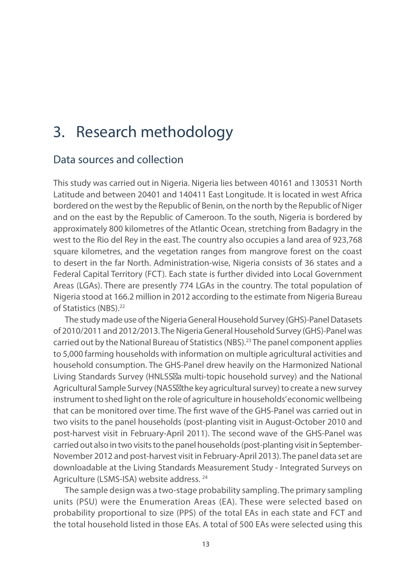## 3. Research methodology

### Data sources and collection

This study was carried out in Nigeria. Nigeria lies between 40161 and 130531 North Latitude and between 20401 and 140411 East Longitude. It is located in west Africa bordered on the west by the Republic of Benin, on the north by the Republic of Niger and on the east by the Republic of Cameroon. To the south, Nigeria is bordered by approximately 800 kilometres of the Atlantic Ocean, stretching from Badagry in the west to the Rio del Rey in the east. The country also occupies a land area of 923,768 square kilometres, and the vegetation ranges from mangrove forest on the coast to desert in the far North. Administration-wise, Nigeria consists of 36 states and a Federal Capital Territory (FCT). Each state is further divided into Local Government Areas (LGAs). There are presently 774 LGAs in the country. The total population of Nigeria stood at 166.2 million in 2012 according to the estimate from Nigeria Bureau of Statistics (NBS).<sup>22</sup>

The study made use of the Nigeria General Household Survey (GHS)-Panel Datasets of 2010/2011 and 2012/2013. The Nigeria General Household Survey (GHS)-Panel was carried out by the National Bureau of Statistics (NBS).23 The panel component applies to 5,000 farming households with information on multiple agricultural activities and household consumption. The GHS-Panel drew heavily on the Harmonized National Living Standards Survey (HNLSS a multi-topic household survey) and the National Agricultural Sample Survey (NASS the key agricultural survey) to create a new survey instrument to shed light on the role of agriculture in households' economic wellbeing that can be monitored over time. The first wave of the GHS-Panel was carried out in two visits to the panel households (post-planting visit in August-October 2010 and post-harvest visit in February-April 2011). The second wave of the GHS-Panel was carried out also in two visits to the panel households (post-planting visit in September-November 2012 and post-harvest visit in February-April 2013). The panel data set are downloadable at the Living Standards Measurement Study - Integrated Surveys on Agriculture (LSMS-ISA) website address. 24

The sample design was a two-stage probability sampling. The primary sampling units (PSU) were the Enumeration Areas (EA). These were selected based on probability proportional to size (PPS) of the total EAs in each state and FCT and the total household listed in those EAs. A total of 500 EAs were selected using this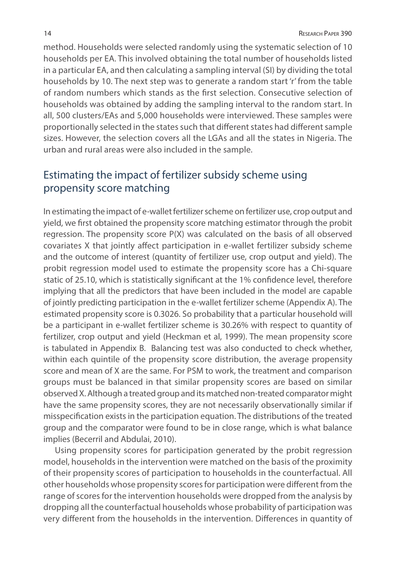method. Households were selected randomly using the systematic selection of 10 households per EA. This involved obtaining the total number of households listed in a particular EA, and then calculating a sampling interval (SI) by dividing the total households by 10. The next step was to generate a random start 'r' from the table of random numbers which stands as the first selection. Consecutive selection of households was obtained by adding the sampling interval to the random start. In all, 500 clusters/EAs and 5,000 households were interviewed. These samples were proportionally selected in the states such that different states had different sample sizes. However, the selection covers all the LGAs and all the states in Nigeria. The urban and rural areas were also included in the sample.

### Estimating the impact of fertilizer subsidy scheme using propensity score matching

In estimating the impact of e-wallet fertilizer scheme on fertilizer use, crop output and yield, we first obtained the propensity score matching estimator through the probit regression. The propensity score P(X) was calculated on the basis of all observed covariates X that jointly affect participation in e-wallet fertilizer subsidy scheme and the outcome of interest (quantity of fertilizer use, crop output and yield). The probit regression model used to estimate the propensity score has a Chi-square static of 25.10, which is statistically significant at the 1% confidence level, therefore implying that all the predictors that have been included in the model are capable of jointly predicting participation in the e-wallet fertilizer scheme (Appendix A). The estimated propensity score is 0.3026. So probability that a particular household will be a participant in e-wallet fertilizer scheme is 30.26% with respect to quantity of fertilizer, crop output and yield (Heckman et al, 1999). The mean propensity score is tabulated in Appendix B. Balancing test was also conducted to check whether, within each quintile of the propensity score distribution, the average propensity score and mean of X are the same. For PSM to work, the treatment and comparison groups must be balanced in that similar propensity scores are based on similar observed X. Although a treated group and its matched non-treated comparator might have the same propensity scores, they are not necessarily observationally similar if misspecification exists in the participation equation. The distributions of the treated group and the comparator were found to be in close range, which is what balance implies (Becerril and Abdulai, 2010).

Using propensity scores for participation generated by the probit regression model, households in the intervention were matched on the basis of the proximity of their propensity scores of participation to households in the counterfactual. All other households whose propensity scores for participation were different from the range of scores for the intervention households were dropped from the analysis by dropping all the counterfactual households whose probability of participation was very different from the households in the intervention. Differences in quantity of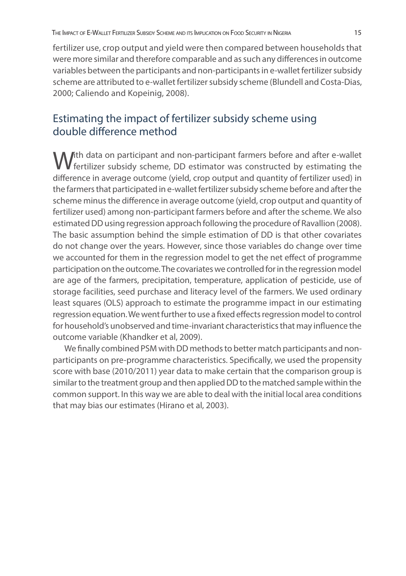fertilizer use, crop output and yield were then compared between households that were more similar and therefore comparable and as such any differences in outcome variables between the participants and non-participants in e-wallet fertilizer subsidy scheme are attributed to e-wallet fertilizer subsidy scheme (Blundell and Costa-Dias, 2000; Caliendo and Kopeinig, 2008).

### Estimating the impact of fertilizer subsidy scheme using double difference method

With data on participant and non-participant farmers before and after e-wallet<br>fertilizer subsidy scheme, DD estimator was constructed by estimating the difference in average outcome (yield, crop output and quantity of fertilizer used) in the farmers that participated in e-wallet fertilizer subsidy scheme before and after the scheme minus the difference in average outcome (yield, crop output and quantity of fertilizer used) among non-participant farmers before and after the scheme. We also estimated DD using regression approach following the procedure of Ravallion (2008). The basic assumption behind the simple estimation of DD is that other covariates do not change over the years. However, since those variables do change over time we accounted for them in the regression model to get the net effect of programme participation on the outcome. The covariates we controlled for in the regression model are age of the farmers, precipitation, temperature, application of pesticide, use of storage facilities, seed purchase and literacy level of the farmers. We used ordinary least squares (OLS) approach to estimate the programme impact in our estimating regression equation. We went further to use a fixed effects regression model to control for household's unobserved and time-invariant characteristics that may influence the outcome variable (Khandker et al, 2009).

We finally combined PSM with DD methods to better match participants and nonparticipants on pre-programme characteristics. Specifically, we used the propensity score with base (2010/2011) year data to make certain that the comparison group is similar to the treatment group and then applied DD to the matched sample within the common support. In this way we are able to deal with the initial local area conditions that may bias our estimates (Hirano et al, 2003).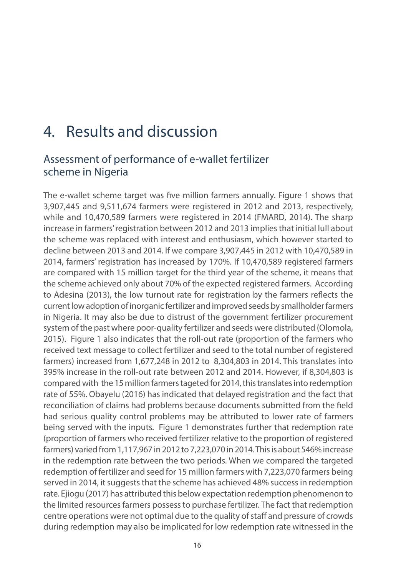## 4. Results and discussion

### Assessment of performance of e-wallet fertilizer scheme in Nigeria

The e-wallet scheme target was five million farmers annually. Figure 1 shows that 3,907,445 and 9,511,674 farmers were registered in 2012 and 2013, respectively, while and 10,470,589 farmers were registered in 2014 (FMARD, 2014). The sharp increase in farmers' registration between 2012 and 2013 implies that initial lull about the scheme was replaced with interest and enthusiasm, which however started to decline between 2013 and 2014. If we compare 3,907,445 in 2012 with 10,470,589 in 2014, farmers' registration has increased by 170%. If 10,470,589 registered farmers are compared with 15 million target for the third year of the scheme, it means that the scheme achieved only about 70% of the expected registered farmers. According to Adesina (2013), the low turnout rate for registration by the farmers reflects the current low adoption of inorganic fertilizer and improved seeds by smallholder farmers in Nigeria. It may also be due to distrust of the government fertilizer procurement system of the past where poor-quality fertilizer and seeds were distributed (Olomola, 2015). Figure 1 also indicates that the roll-out rate (proportion of the farmers who received text message to collect fertilizer and seed to the total number of registered farmers) increased from 1,677,248 in 2012 to 8,304,803 in 2014. This translates into 395% increase in the roll-out rate between 2012 and 2014. However, if 8,304,803 is compared with the 15 million farmers tageted for 2014, this translates into redemption rate of 55%. Obayelu (2016) has indicated that delayed registration and the fact that reconciliation of claims had problems because documents submitted from the field had serious quality control problems may be attributed to lower rate of farmers being served with the inputs. Figure 1 demonstrates further that redemption rate (proportion of farmers who received fertilizer relative to the proportion of registered farmers) varied from 1,117,967 in 2012 to 7,223,070 in 2014. This is about 546% increase in the redemption rate between the two periods. When we compared the targeted redemption of fertilizer and seed for 15 million farmers with 7,223,070 farmers being served in 2014, it suggests that the scheme has achieved 48% success in redemption rate. Ejiogu (2017) has attributed this below expectation redemption phenomenon to the limited resources farmers possess to purchase fertilizer. The fact that redemption centre operations were not optimal due to the quality of staff and pressure of crowds during redemption may also be implicated for low redemption rate witnessed in the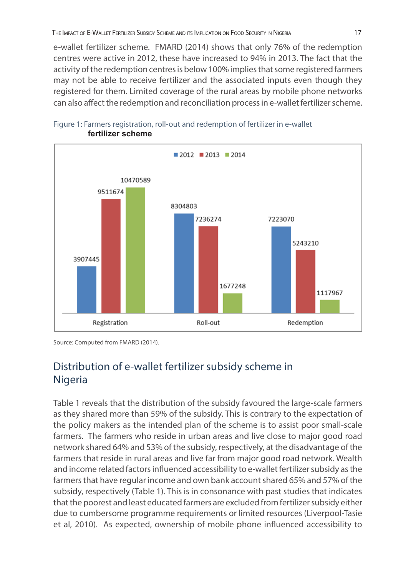e-wallet fertilizer scheme. FMARD (2014) shows that only 76% of the redemption centres were active in 2012, these have increased to 94% in 2013. The fact that the activity of the redemption centres is below 100% implies that some registered farmers may not be able to receive fertilizer and the associated inputs even though they registered for them. Limited coverage of the rural areas by mobile phone networks can also affect the redemption and reconciliation process in e-wallet fertilizer scheme.





Source: Computed from FMARD (2014).

### Distribution of e-wallet fertilizer subsidy scheme in Nigeria

Table 1 reveals that the distribution of the subsidy favoured the large-scale farmers as they shared more than 59% of the subsidy. This is contrary to the expectation of the policy makers as the intended plan of the scheme is to assist poor small-scale farmers. The farmers who reside in urban areas and live close to major good road network shared 64% and 53% of the subsidy, respectively, at the disadvantage of the farmers that reside in rural areas and live far from major good road network. Wealth and income related factors influenced accessibility to e-wallet fertilizer subsidy as the farmers that have regular income and own bank account shared 65% and 57% of the subsidy, respectively (Table 1). This is in consonance with past studies that indicates that the poorest and least educated farmers are excluded from fertilizer subsidy either due to cumbersome programme requirements or limited resources (Liverpool-Tasie et al, 2010). As expected, ownership of mobile phone influenced accessibility to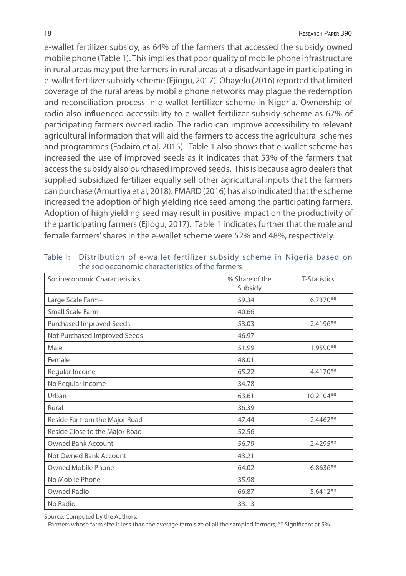e-wallet fertilizer subsidy, as 64% of the farmers that accessed the subsidy owned mobile phone (Table 1). This implies that poor quality of mobile phone infrastructure in rural areas may put the farmers in rural areas at a disadvantage in participating in e-wallet fertilizer subsidy scheme (Ejiogu, 2017). Obayelu (2016) reported that limited coverage of the rural areas by mobile phone networks may plague the redemption and reconciliation process in e-wallet fertilizer scheme in Nigeria. Ownership of radio also influenced accessibility to e-wallet fertilizer subsidy scheme as 67% of participating farmers owned radio. The radio can improve accessibility to relevant agricultural information that will aid the farmers to access the agricultural schemes and programmes (Fadairo et al, 2015). Table 1 also shows that e-wallet scheme has increased the use of improved seeds as it indicates that 53% of the farmers that access the subsidy also purchased improved seeds. This is because agro dealers that supplied subsidized fertilizer equally sell other agricultural inputs that the farmers can purchase (Amurtiya et al, 2018). FMARD (2016) has also indicated that the scheme increased the adoption of high yielding rice seed among the participating farmers. Adoption of high yielding seed may result in positive impact on the productivity of the participating farmers (Ejiogu, 2017). Table 1 indicates further that the male and female farmers' shares in the e-wallet scheme were 52% and 48%, respectively.

| Socioeconomic Characteristics   | % Share of the<br>Subsidy | <b>T-Statistics</b> |
|---------------------------------|---------------------------|---------------------|
| Large Scale Farm+               | 59.34                     | 6.7370**            |
| Small Scale Farm                | 40.66                     |                     |
| <b>Purchased Improved Seeds</b> | 53.03                     | 2.4196**            |
| Not Purchased Improved Seeds    | 46.97                     |                     |
| Male                            | 51.99                     | 1.9590**            |
| Female                          | 48.01                     |                     |
| Regular Income                  | 65.22                     | 4.4170**            |
| No Regular Income               | 34.78                     |                     |
| Urban                           | 63.61                     | 10.2104**           |
| Rural                           | 36.39                     |                     |
| Reside Far from the Major Road  | 47.44                     | $-2.4462**$         |
| Reside Close to the Major Road  | 52.56                     |                     |
| <b>Owned Bank Account</b>       | 56.79                     | 2.4295**            |
| Not Owned Bank Account          | 43.21                     |                     |
| Owned Mobile Phone              | 64.02                     | $6.8636**$          |
| No Mobile Phone                 | 35.98                     |                     |
| Owned Radio                     | 66.87                     | 5.6412**            |
| No Radio                        | 33.13                     |                     |

Table 1: Distribution of e-wallet fertilizer subsidy scheme in Nigeria based on the socioeconomic characteristics of the farmers

Source: Computed by the Authors.

+Farmers whose farm size is less than the average farm size of all the sampled farmers; \*\* Significant at 5%.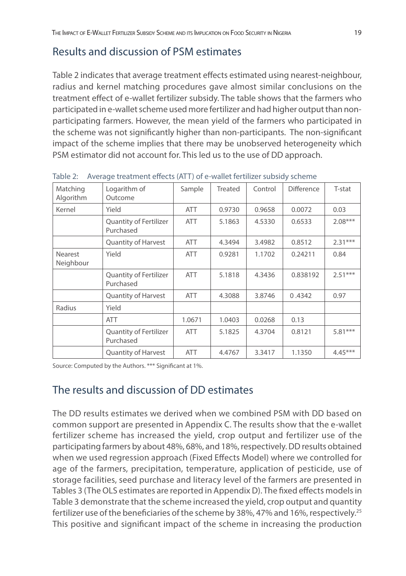### Results and discussion of PSM estimates

Table 2 indicates that average treatment effects estimated using nearest-neighbour, radius and kernel matching procedures gave almost similar conclusions on the treatment effect of e-wallet fertilizer subsidy. The table shows that the farmers who participated in e-wallet scheme used more fertilizer and had higher output than nonparticipating farmers. However, the mean yield of the farmers who participated in the scheme was not significantly higher than non-participants. The non-significant impact of the scheme implies that there may be unobserved heterogeneity which PSM estimator did not account for. This led us to the use of DD approach.

| Matching<br>Algorithm       | Logarithm of<br>Outcome                    | Sample     | Treated | Control | <b>Difference</b> | T-stat    |
|-----------------------------|--------------------------------------------|------------|---------|---------|-------------------|-----------|
| Kernel                      | Yield                                      | <b>ATT</b> | 0.9730  | 0.9658  | 0.0072            | 0.03      |
|                             | Quantity of Fertilizer<br>Purchased        | <b>ATT</b> | 5.1863  | 4.5330  | 0.6533            | $2.08***$ |
|                             | Quantity of Harvest                        | <b>ATT</b> | 4.3494  | 3.4982  | 0.8512            | $2.31***$ |
| <b>Nearest</b><br>Neighbour | Yield                                      | <b>ATT</b> | 0.9281  | 1.1702  | 0.24211           | 0.84      |
|                             | <b>Quantity of Fertilizer</b><br>Purchased | <b>ATT</b> | 5.1818  | 4.3436  | 0.838192          | $2.51***$ |
|                             | <b>Quantity of Harvest</b>                 | <b>ATT</b> | 4.3088  | 3.8746  | 0.4342            | 0.97      |
| Radius                      | Yield                                      |            |         |         |                   |           |
|                             | <b>ATT</b>                                 | 1.0671     | 1.0403  | 0.0268  | 0.13              |           |
|                             | <b>Quantity of Fertilizer</b><br>Purchased | <b>ATT</b> | 5.1825  | 4.3704  | 0.8121            | $5.81***$ |
|                             | <b>Quantity of Harvest</b>                 | <b>ATT</b> | 4.4767  | 3.3417  | 1.1350            | $4.45***$ |

Table 2: Average treatment effects (ATT) of e-wallet fertilizer subsidy scheme

Source: Computed by the Authors. \*\*\* Significant at 1%.

### The results and discussion of DD estimates

The DD results estimates we derived when we combined PSM with DD based on common support are presented in Appendix C. The results show that the e-wallet fertilizer scheme has increased the yield, crop output and fertilizer use of the participating farmers by about 48%, 68%, and 18%, respectively. DD results obtained when we used regression approach (Fixed Effects Model) where we controlled for age of the farmers, precipitation, temperature, application of pesticide, use of storage facilities, seed purchase and literacy level of the farmers are presented in Tables 3 (The OLS estimates are reported in Appendix D). The fixed effects models in Table 3 demonstrate that the scheme increased the yield, crop output and quantity fertilizer use of the beneficiaries of the scheme by 38%, 47% and 16%, respectively.25 This positive and significant impact of the scheme in increasing the production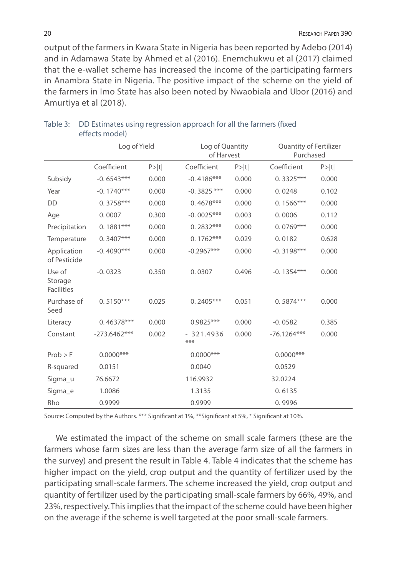output of the farmers in Kwara State in Nigeria has been reported by Adebo (2014) and in Adamawa State by Ahmed et al (2016). Enemchukwu et al (2017) claimed that the e-wallet scheme has increased the income of the participating farmers in Anambra State in Nigeria. The positive impact of the scheme on the yield of the farmers in Imo State has also been noted by Nwaobiala and Ubor (2016) and Amurtiya et al (2018).

|                                        | Log of Yield   |       |                    | Log of Quantity<br>of Harvest |               | Quantity of Fertilizer<br>Purchased |
|----------------------------------------|----------------|-------|--------------------|-------------------------------|---------------|-------------------------------------|
|                                        | Coefficient    | P> t  | Coefficient        | P> t                          | Coefficient   | P> t                                |
| Subsidy                                | $-0.6543***$   | 0.000 | $-0.4186***$       | 0.000                         | $0.3325***$   | 0.000                               |
| Year                                   | $-0.1740***$   | 0.000 | $-0.3825$ ***      | 0.000                         | 0.0248        | 0.102                               |
| DD                                     | $0.3758***$    | 0.000 | $0.4678***$        | 0.000                         | $0.1566***$   | 0.000                               |
| Age                                    | 0.0007         | 0.300 | $-0.0025***$       | 0.003                         | 0.0006        | 0.112                               |
| Precipitation                          | $0.1881***$    | 0.000 | $0.2832***$        | 0.000                         | $0.0769***$   | 0.000                               |
| Temperature                            | $0.3407***$    | 0.000 | $0.1762***$        | 0.029                         | 0.0182        | 0.628                               |
| Application<br>of Pesticide            | $-0.4090***$   | 0.000 | $-0.2967***$       | 0.000                         | $-0.3198***$  | 0.000                               |
| Use of<br>Storage<br><b>Facilities</b> | $-0.0323$      | 0.350 | 0.0307             | 0.496                         | $-0.1354***$  | 0.000                               |
| Purchase of<br>Seed                    | $0.5150***$    | 0.025 | $0.2405***$        | 0.051                         | $0.5874***$   | 0.000                               |
| Literacy                               | $0.46378***$   | 0.000 | 0.9825***          | 0.000                         | $-0.0582$     | 0.385                               |
| Constant                               | $-273.6462***$ | 0.002 | $-321.4936$<br>*** | 0.000                         | $-76.1264***$ | 0.000                               |
| $Prob$ > F                             | $0.0000$ ***   |       | $0.0000$ ***       |                               | $0.0000$ ***  |                                     |
| R-squared                              | 0.0151         |       | 0.0040             |                               | 0.0529        |                                     |
| Sigma_u                                | 76.6672        |       | 116.9932           |                               | 32.0224       |                                     |
| Sigma_e                                | 1.0086         |       | 1.3135             |                               | 0.6135        |                                     |
| Rho                                    | 0.9999         |       | 0.9999             |                               | 0.9996        |                                     |

| Table 3: DD Estimates using regression approach for all the farmers (fixed |
|----------------------------------------------------------------------------|
| effects model)                                                             |

Source: Computed by the Authors. \*\*\* Significant at 1%, \*\*Significant at 5%, \* Significant at 10%.

We estimated the impact of the scheme on small scale farmers (these are the farmers whose farm sizes are less than the average farm size of all the farmers in the survey) and present the result in Table 4. Table 4 indicates that the scheme has higher impact on the yield, crop output and the quantity of fertilizer used by the participating small-scale farmers. The scheme increased the yield, crop output and quantity of fertilizer used by the participating small-scale farmers by 66%, 49%, and 23%, respectively. This implies that the impact of the scheme could have been higher on the average if the scheme is well targeted at the poor small-scale farmers.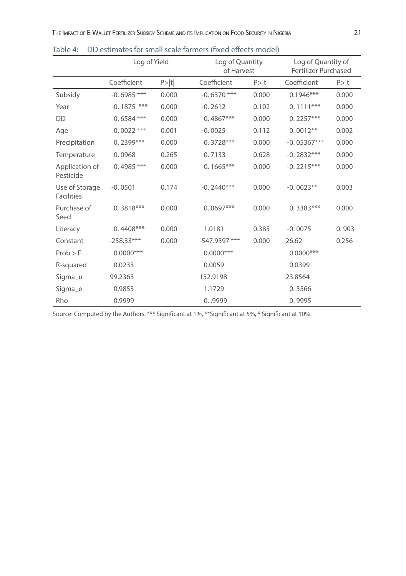|                                     | Log of Yield  |       |               | Log of Quantity<br>of Harvest |               | Log of Quantity of<br><b>Fertilizer Purchased</b> |
|-------------------------------------|---------------|-------|---------------|-------------------------------|---------------|---------------------------------------------------|
|                                     | Coefficient   | P> t  | Coefficient   | P> t                          | Coefficient   | P> t                                              |
| Subsidy                             | $-0.6985$ *** | 0.000 | $-0.6370$ *** | 0.000                         | $0.1946***$   | 0.000                                             |
| Year                                | $-0.1875$ *** | 0.000 | $-0.2612$     | 0.102                         | $0.1111***$   | 0.000                                             |
| DD                                  | $0.6584$ ***  | 0.000 | $0.4867***$   | 0.000                         | $0.2257***$   | 0.000                                             |
| Age                                 | $0.0022$ ***  | 0.001 | $-0.0025$     | 0.112                         | $0.0012**$    | 0.002                                             |
| Precipitation                       | $0.2399***$   | 0.000 | $0.3728***$   | 0.000                         | $-0.05367***$ | 0.000                                             |
| Temperature                         | 0.0968        | 0.265 | 0.7133        | 0.628                         | $-0.2832***$  | 0.000                                             |
| Application of<br>Pesticide         | $-0.4985$ *** | 0.000 | $-0.1665***$  | 0.000                         | $-0.2215***$  | 0.000                                             |
| Use of Storage<br><b>Facilities</b> | $-0.0501$     | 0.174 | $-0.2440***$  | 0.000                         | $-0.0623**$   | 0.003                                             |
| Purchase of<br>Seed                 | $0.3818***$   | 0.000 | $0.0697***$   | 0.000                         | $0.3383***$   | 0.000                                             |
| Literacy                            | $0.4408***$   | 0.000 | 1.0181        | 0.385                         | $-0.0075$     | 0.903                                             |
| Constant                            | $-258.33***$  | 0.000 | -547.9597 *** | 0.000                         | 26.62         | 0.256                                             |
| $Prob$ > F                          | $0.0000$ ***  |       | $0.0000$ ***  |                               | $0.0000$ ***  |                                                   |
| R-squared                           | 0.0233        |       | 0.0059        |                               | 0.0399        |                                                   |
| Sigma_u                             | 99.2363       |       | 152.9198      |                               | 23.8564       |                                                   |
| Sigma e                             | 0.9853        |       | 1.1729        |                               | 0.5566        |                                                   |
| Rho                                 | 0.9999        |       | 0.09999       |                               | 0.9995        |                                                   |

Table 4: DD estimates for small scale farmers (fixed effects model)

Source: Computed by the Authors. \*\*\* Significant at 1%, \*\*Significant at 5%, \* Significant at 10%.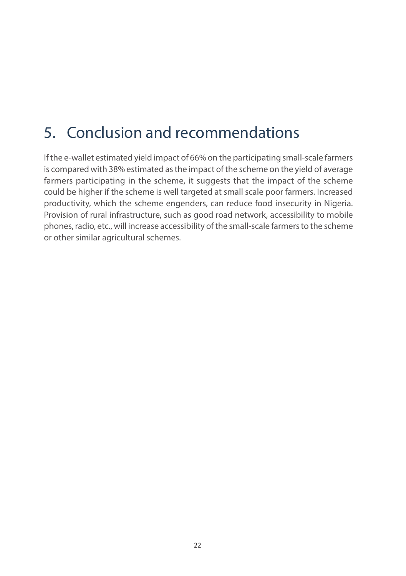# 5. Conclusion and recommendations

If the e-wallet estimated yield impact of 66% on the participating small-scale farmers is compared with 38% estimated as the impact of the scheme on the yield of average farmers participating in the scheme, it suggests that the impact of the scheme could be higher if the scheme is well targeted at small scale poor farmers. Increased productivity, which the scheme engenders, can reduce food insecurity in Nigeria. Provision of rural infrastructure, such as good road network, accessibility to mobile phones, radio, etc., will increase accessibility of the small-scale farmers to the scheme or other similar agricultural schemes.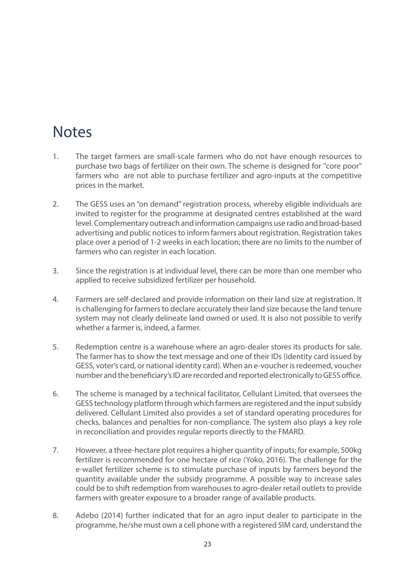## **Notes**

- 1. The target farmers are small-scale farmers who do not have enough resources to purchase two bags of fertilizer on their own. The scheme is designed for "core poor" farmers who are not able to purchase fertilizer and agro-inputs at the competitive prices in the market.
- 2. The GESS uses an "on demand" registration process, whereby eligible individuals are invited to register for the programme at designated centres established at the ward level. Complementary outreach and information campaigns use radio and broad-based advertising and public notices to inform farmers about registration. Registration takes place over a period of 1-2 weeks in each location; there are no limits to the number of farmers who can register in each location.
- 3. Since the registration is at individual level, there can be more than one member who applied to receive subsidized fertilizer per household.
- 4. Farmers are self-declared and provide information on their land size at registration. It is challenging for farmers to declare accurately their land size because the land tenure system may not clearly delineate land owned or used. It is also not possible to verify whether a farmer is, indeed, a farmer.
- 5. Redemption centre is a warehouse where an agro-dealer stores its products for sale. The farmer has to show the text message and one of their IDs (identity card issued by GESS, voter's card, or national identity card). When an e-voucher is redeemed, voucher number and the beneficiary's ID are recorded and reported electronically to GESS office.
- 6. The scheme is managed by a technical facilitator, Cellulant Limited, that oversees the GESS technology platform through which farmers are registered and the input subsidy delivered. Cellulant Limited also provides a set of standard operating procedures for checks, balances and penalties for non-compliance. The system also plays a key role in reconciliation and provides regular reports directly to the FMARD.
- 7. However, a three-hectare plot requires a higher quantity of inputs; for example, 500kg fertilizer is recommended for one hectare of rice (Yoko, 2016). The challenge for the e-wallet fertilizer scheme is to stimulate purchase of inputs by farmers beyond the quantity available under the subsidy programme. A possible way to increase sales could be to shift redemption from warehouses to agro-dealer retail outlets to provide farmers with greater exposure to a broader range of available products.
- 8. Adebo (2014) further indicated that for an agro input dealer to participate in the programme, he/she must own a cell phone with a registered SIM card, understand the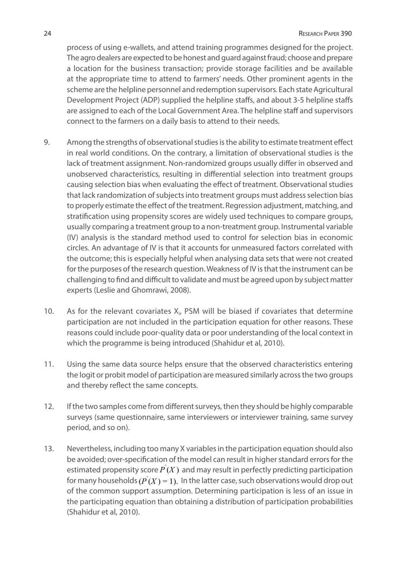process of using e-wallets, and attend training programmes designed for the project. The agro dealers are expected to be honest and guard against fraud; choose and prepare a location for the business transaction; provide storage facilities and be available at the appropriate time to attend to farmers' needs. Other prominent agents in the scheme are the helpline personnel and redemption supervisors. Each state Agricultural Development Project (ADP) supplied the helpline staffs, and about 3-5 helpline staffs are assigned to each of the Local Government Area. The helpline staff and supervisors connect to the farmers on a daily basis to attend to their needs.

- 9. Among the strengths of observational studies is the ability to estimate treatment effect in real world conditions. On the contrary, a limitation of observational studies is the lack of treatment assignment. Non-randomized groups usually differ in observed and unobserved characteristics, resulting in differential selection into treatment groups causing selection bias when evaluating the effect of treatment. Observational studies that lack randomization of subjects into treatment groups must address selection bias to properly estimate the effect of the treatment. Regression adjustment, matching, and stratification using propensity scores are widely used techniques to compare groups, usually comparing a treatment group to a non-treatment group. Instrumental variable (IV) analysis is the standard method used to control for selection bias in economic circles. An advantage of IV is that it accounts for unmeasured factors correlated with the outcome; this is especially helpful when analysing data sets that were not created for the purposes of the research question. Weakness of IV is that the instrument can be challenging to find and difficult to validate and must be agreed upon by subject matter experts (Leslie and Ghomrawi, 2008).
- 10. As for the relevant covariates Xi, PSM will be biased if covariates that determine participation are not included in the participation equation for other reasons. These reasons could include poor-quality data or poor understanding of the local context in which the programme is being introduced (Shahidur et al, 2010).
- 11. Using the same data source helps ensure that the observed characteristics entering the logit or probit model of participation are measured similarly across the two groups and thereby reflect the same concepts.
- 12. If the two samples come from different surveys, then they should be highly comparable surveys (same questionnaire, same interviewers or interviewer training, same survey period, and so on).
- 13. Nevertheless, including too many X variables in the participation equation should also be avoided; over-specification of the model can result in higher standard errors for the estimated propensity score  $\hat{P(X)}$  and may result in perfectly predicting participation for many households  $(\hat{P(X)}=1)$ . In the latter case, such observations would drop out of the common support assumption. Determining participation is less of an issue in the participating equation than obtaining a distribution of participation probabilities (Shahidur et al, 2010).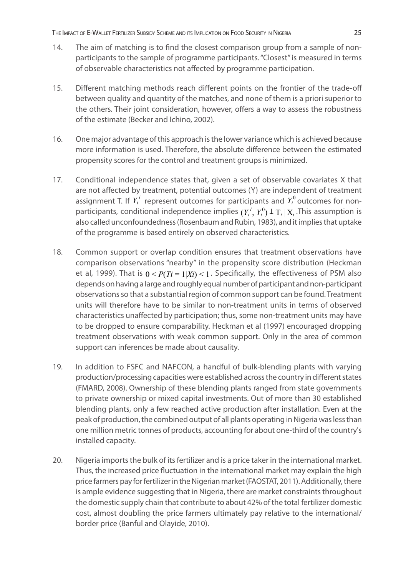- 14. The aim of matching is to find the closest comparison group from a sample of nonparticipants to the sample of programme participants. "Closest" is measured in terms of observable characteristics not affected by programme participation.
- 15. Different matching methods reach different points on the frontier of the trade-off between quality and quantity of the matches, and none of them is a priori superior to the others. Their joint consideration, however, offers a way to assess the robustness of the estimate (Becker and Ichino, 2002).
- 16. One major advantage of this approach is the lower variance which is achieved because more information is used. Therefore, the absolute difference between the estimated propensity scores for the control and treatment groups is minimized.
- 17. Conditional independence states that, given a set of observable covariates X that are not affected by treatment, potential outcomes (Y) are independent of treatment assignment T. If  $Y_i^I$  represent outcomes for participants and  $Y_i^0$  outcomes for nonparticipants, conditional independence implies  $(Y_i^I, Y_i^0) \perp T_i | X_i$ . This assumption is also called unconfoundedness (Rosenbaum and Rubin, 1983), and it implies that uptake of the programme is based entirely on observed characteristics.
- 18. Common support or overlap condition ensures that treatment observations have comparison observations "nearby" in the propensity score distribution (Heckman et al, 1999). That is  $0 < P(T_i = 1 | X_i) < 1$ . Specifically, the effectiveness of PSM also depends on having a large and roughly equal number of participant and non-participant observations so that a substantial region of common support can be found. Treatment units will therefore have to be similar to non-treatment units in terms of observed characteristics unaffected by participation; thus, some non-treatment units may have to be dropped to ensure comparability. Heckman et al (1997) encouraged dropping treatment observations with weak common support. Only in the area of common support can inferences be made about causality.
- 19. In addition to FSFC and NAFCON, a handful of bulk-blending plants with varying production/processing capacities were established across the country in different states (FMARD, 2008). Ownership of these blending plants ranged from state governments to private ownership or mixed capital investments. Out of more than 30 established blending plants, only a few reached active production after installation. Even at the peak of production, the combined output of all plants operating in Nigeria was less than one million metric tonnes of products, accounting for about one-third of the country's installed capacity.
- 20. Nigeria imports the bulk of its fertilizer and is a price taker in the international market. Thus, the increased price fluctuation in the international market may explain the high price farmers pay for fertilizer in the Nigerian market (FAOSTAT, 2011). Additionally, there is ample evidence suggesting that in Nigeria, there are market constraints throughout the domestic supply chain that contribute to about 42% of the total fertilizer domestic cost, almost doubling the price farmers ultimately pay relative to the international/ border price (Banful and Olayide, 2010).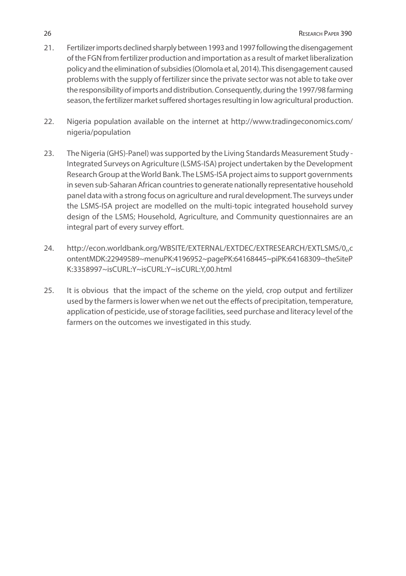- 21. Fertilizer imports declined sharply between 1993 and 1997 following the disengagement of the FGN from fertilizer production and importation as a result of market liberalization policy and the elimination of subsidies (Olomola et al, 2014). This disengagement caused problems with the supply of fertilizer since the private sector was not able to take over the responsibility of imports and distribution. Consequently, during the 1997/98 farming season, the fertilizer market suffered shortages resulting in low agricultural production.
- 22. Nigeria population available on the internet at http://www.tradingeconomics.com/ nigeria/population
- 23. The Nigeria (GHS)-Panel) was supported by the Living Standards Measurement Study Integrated Surveys on Agriculture (LSMS-ISA) project undertaken by the Development Research Group at the World Bank. The LSMS-ISA project aims to support governments in seven sub-Saharan African countries to generate nationally representative household panel data with a strong focus on agriculture and rural development. The surveys under the LSMS-ISA project are modelled on the multi-topic integrated household survey design of the LSMS; Household, Agriculture, and Community questionnaires are an integral part of every survey effort.
- 24. http://econ.worldbank.org/WBSITE/EXTERNAL/EXTDEC/EXTRESEARCH/EXTLSMS/0,,c ontentMDK:22949589~menuPK:4196952~pagePK:64168445~piPK:64168309~theSiteP K:3358997~isCURL:Y~isCURL:Y~isCURL:Y,00.html
- 25. It is obvious that the impact of the scheme on the yield, crop output and fertilizer used by the farmers is lower when we net out the effects of precipitation, temperature, application of pesticide, use of storage facilities, seed purchase and literacy level of the farmers on the outcomes we investigated in this study.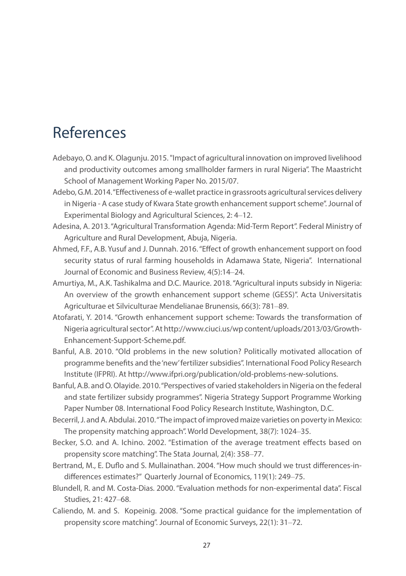## References

- Adebayo, O. and K. Olagunju. 2015. "Impact of agricultural innovation on improved livelihood and productivity outcomes among smallholder farmers in rural Nigeria". The Maastricht School of Management Working Paper No. 2015/07.
- Adebo, G.M. 2014. "Effectiveness of e-wallet practice in grassroots agricultural services delivery in Nigeria - A case study of Kwara State growth enhancement support scheme". Journal of Experimental Biology and Agricultural Sciences, 2: 4‒12.
- Adesina, A. 2013. "Agricultural Transformation Agenda: Mid-Term Report". Federal Ministry of Agriculture and Rural Development, Abuja, Nigeria.
- Ahmed, F.F., A.B. Yusuf and J. Dunnah. 2016. "Effect of growth enhancement support on food security status of rural farming households in Adamawa State, Nigeria". International Journal of Economic and Business Review, 4(5):14‒24.
- Amurtiya, M., A.K. Tashikalma and D.C. Maurice. 2018. "Agricultural inputs subsidy in Nigeria: An overview of the growth enhancement support scheme (GESS)". Acta Universitatis Agriculturae et Silviculturae Mendelianae Brunensis, 66(3): 781-89.
- Atofarati, Y. 2014. "Growth enhancement support scheme: Towards the transformation of Nigeria agricultural sector". At http://www.ciuci.us/wp content/uploads/2013/03/Growth-Enhancement-Support-Scheme.pdf.
- Banful, A.B. 2010. "Old problems in the new solution? Politically motivated allocation of programme benefits and the 'new' fertilizer subsidies". International Food Policy Research Institute (IFPRI). At http://www.ifpri.org/publication/old-problems-new-solutions.
- Banful, A.B. and O. Olayide. 2010. "Perspectives of varied stakeholders in Nigeria on the federal and state fertilizer subsidy programmes". Nigeria Strategy Support Programme Working Paper Number 08. International Food Policy Research Institute, Washington, D.C.
- Becerril, J. and A. Abdulai. 2010. "The impact of improved maize varieties on poverty in Mexico: The propensity matching approach". World Development, 38(7): 1024‒35.
- Becker, S.O. and A. Ichino. 2002. "Estimation of the average treatment effects based on propensity score matching". The Stata Journal, 2(4): 358-77.
- Bertrand, M., E. Duflo and S. Mullainathan. 2004. "How much should we trust differences-indifferences estimates?" Quarterly Journal of Economics, 119(1): 249-75.
- Blundell, R. and M. Costa-Dias. 2000. "Evaluation methods for non-experimental data". Fiscal Studies, 21: 427-68.
- Caliendo, M. and S. Kopeinig. 2008. "Some practical guidance for the implementation of propensity score matching". Journal of Economic Surveys, 22(1): 31–72.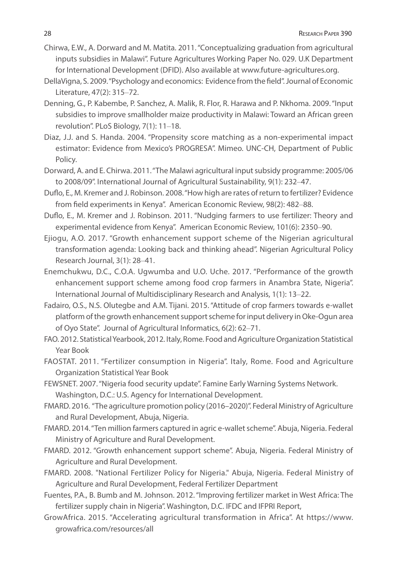- Chirwa, E.W., A. Dorward and M. Matita. 2011. "Conceptualizing graduation from agricultural inputs subsidies in Malawi". Future Agricultures Working Paper No. 029. U.K Department for International Development (DFID). Also available at www.future-agricultures.org.
- DellaVigna, S. 2009. "Psychology and economics: Evidence from the field". Journal of Economic Literature, 47(2): 315‒72.
- Denning, G., P. Kabembe, P. Sanchez, A. Malik, R. Flor, R. Harawa and P. Nkhoma. 2009. "Input subsidies to improve smallholder maize productivity in Malawi: Toward an African green revolution". PLoS Biology, 7(1): 11-18.
- Diaz, J.J. and S. Handa. 2004. "Propensity score matching as a non-experimental impact estimator: Evidence from Mexico's PROGRESA". Mimeo. UNC-CH, Department of Public Policy.
- Dorward, A. and E. Chirwa. 2011. "The Malawi agricultural input subsidy programme: 2005/06 to 2008/09". International Journal of Agricultural Sustainability, 9(1): 232-47.
- Duflo, E., M. Kremer and J. Robinson. 2008. "How high are rates of return to fertilizer? Evidence from field experiments in Kenya". American Economic Review, 98(2): 482-88.
- Duflo, E., M. Kremer and J. Robinson. 2011. "Nudging farmers to use fertilizer: Theory and experimental evidence from Kenya". American Economic Review, 101(6): 2350-90.
- Ejiogu, A.O. 2017. "Growth enhancement support scheme of the Nigerian agricultural transformation agenda: Looking back and thinking ahead". Nigerian Agricultural Policy Research Journal, 3(1): 28-41.
- Enemchukwu, D.C., C.O.A. Ugwumba and U.O. Uche. 2017. "Performance of the growth enhancement support scheme among food crop farmers in Anambra State, Nigeria". International Journal of Multidisciplinary Research and Analysis, 1(1): 13–22.
- Fadairo, O.S., N.S. Olutegbe and A.M. Tijani. 2015. "Attitude of crop farmers towards e-wallet platform of the growth enhancement support scheme for input delivery in Oke-Ogun area of Oyo State". Journal of Agricultural Informatics, 6(2): 62-71.
- FAO. 2012. Statistical Yearbook, 2012. Italy, Rome. Food and Agriculture Organization Statistical Year Book
- FAOSTAT. 2011. "Fertilizer consumption in Nigeria". Italy, Rome. Food and Agriculture Organization Statistical Year Book
- FEWSNET. 2007. "Nigeria food security update". Famine Early Warning Systems Network. Washington, D.C.: U.S. Agency for International Development.
- FMARD. 2016. "The agriculture promotion policy (2016–2020)". Federal Ministry of Agriculture and Rural Development, Abuja, Nigeria.
- FMARD. 2014. "Ten million farmers captured in agric e-wallet scheme". Abuja, Nigeria. Federal Ministry of Agriculture and Rural Development.
- FMARD. 2012. "Growth enhancement support scheme". Abuja, Nigeria. Federal Ministry of Agriculture and Rural Development.
- FMARD. 2008. "National Fertilizer Policy for Nigeria." Abuja, Nigeria. Federal Ministry of Agriculture and Rural Development, Federal Fertilizer Department
- Fuentes, P.A., B. Bumb and M. Johnson. 2012. "Improving fertilizer market in West Africa: The fertilizer supply chain in Nigeria". Washington, D.C. IFDC and IFPRI Report,
- GrowAfrica. 2015. "Accelerating agricultural transformation in Africa". At https://www. growafrica.com/resources/all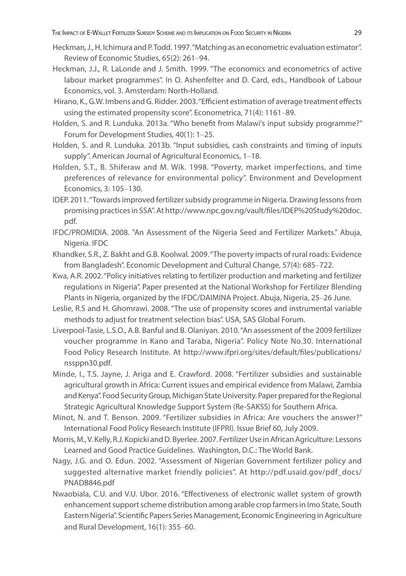- Heckman, J., H. Ichimura and P. Todd. 1997. "Matching as an econometric evaluation estimator". Review of Economic Studies, 65(2): 261-94.
- Heckman, J.J., R. LaLonde and J. Smith. 1999. "The economics and econometrics of active labour market programmes". In O. Ashenfelter and D. Card, eds., Handbook of Labour Economics, vol. 3. Amsterdam: North-Holland.
- Hirano, K., G.W. Imbens and G. Ridder. 2003. "Efficient estimation of average treatment effects using the estimated propensity score". Econometrica, 71(4): 1161-89.
- Holden, S. and R. Lunduka. 2013a. "Who benefit from Malawi's input subsidy programme?" Forum for Development Studies, 40(1): 1-25.
- Holden, S. and R. Lunduka. 2013b. "Input subsidies, cash constraints and timing of inputs supply". American Journal of Agricultural Economics, 1-18.
- Holden, S.T., B. Shiferaw and M. Wik. 1998. "Poverty, market imperfections, and time preferences of relevance for environmental policy". Environment and Development Economics, 3: 105‒130.
- IDEP. 2011. "Towards improved fertilizer subsidy programme in Nigeria. Drawing lessons from promising practices in SSA". At http://www.npc.gov.ng/vault/files/IDEP%20Study%20doc. pdf.
- IFDC/PROMIDIA. 2008. "An Assessment of the Nigeria Seed and Fertilizer Markets." Abuja, Nigeria. IFDC
- Khandker, S.R., Z. Bakht and G.B. Koolwal. 2009. "The poverty impacts of rural roads: Evidence from Bangladesh". Economic Development and Cultural Change, 57(4): 685–722.
- Kwa, A.R. 2002. "Policy initiatives relating to fertilizer production and marketing and fertilizer regulations in Nigeria". Paper presented at the National Workshop for Fertilizer Blending Plants in Nigeria, organized by the IFDC/DAIMINA Project. Abuja, Nigeria, 25-26 June.
- Leslie, R.S and H. Ghomrawi. 2008. "The use of propensity scores and instrumental variable methods to adjust for treatment selection bias". USA, SAS Global Forum.
- Liverpool-Tasie, L.S.O., A.B. Banful and B. Olaniyan. 2010. "An assessment of the 2009 fertilizer voucher programme in Kano and Taraba, Nigeria". Policy Note No.30. International Food Policy Research Institute. At http://www.ifpri.org/sites/default/files/publications/ nssppn30.pdf.
- Minde, I., T.S. Jayne, J. Ariga and E. Crawford. 2008. "Fertilizer subsidies and sustainable agricultural growth in Africa: Current issues and empirical evidence from Malawi, Zambia and Kenya". Food Security Group, Michigan State University. Paper prepared for the Regional Strategic Agricultural Knowledge Support System (Re-SAKSS) for Southern Africa.
- Minot, N. and T. Benson. 2009. "Fertilizer subsidies in Africa: Are vouchers the answer?" International Food Policy Research Institute (IFPRI). Issue Brief 60, July 2009.
- Morris, M., V. Kelly, R.J. Kopicki and D. Byerlee. 2007. Fertilizer Use in African Agriculture: Lessons Learned and Good Practice Guidelines. Washington, D.C.: The World Bank.
- Nagy, J.G. and O. Edun. 2002. "Assessment of Nigerian Government fertilizer policy and suggested alternative market friendly policies". At http://pdf.usaid.gov/pdf\_docs/ PNADB846.pdf
- Nwaobiala, C.U. and V.U. Ubor. 2016. "Effectiveness of electronic wallet system of growth enhancement support scheme distribution among arable crop farmers in Imo State, South Eastern Nigeria". Scientific Papers Series Management, Economic Engineering in Agriculture and Rural Development, 16(1): 355-60.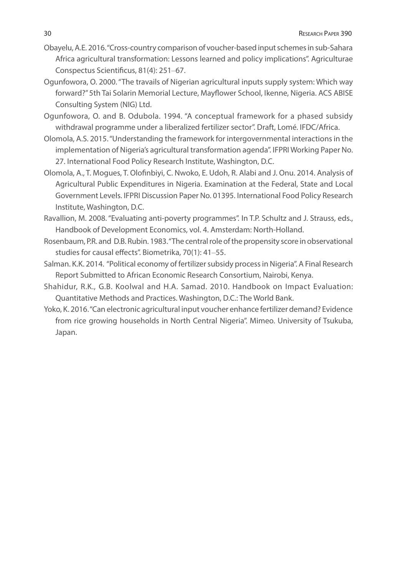- Obayelu, A.E. 2016. "Cross-country comparison of voucher-based input schemes in sub-Sahara Africa agricultural transformation: Lessons learned and policy implications". Agriculturae Conspectus Scientificus, 81(4): 251-67.
- Ogunfowora, O. 2000. "The travails of Nigerian agricultural inputs supply system: Which way forward?" 5th Tai Solarin Memorial Lecture, Mayflower School, Ikenne, Nigeria. ACS ABISE Consulting System (NIG) Ltd.
- Ogunfowora, O. and B. Odubola. 1994. "A conceptual framework for a phased subsidy withdrawal programme under a liberalized fertilizer sector". Draft, Lomé. IFDC/Africa.
- Olomola, A.S. 2015. "Understanding the framework for intergovernmental interactions in the implementation of Nigeria's agricultural transformation agenda". IFPRI Working Paper No. 27. International Food Policy Research Institute, Washington, D.C.
- Olomola, A., T. Mogues, T. Olofinbiyi, C. Nwoko, E. Udoh, R. Alabi and J. Onu. 2014. Analysis of Agricultural Public Expenditures in Nigeria. Examination at the Federal, State and Local Government Levels. IFPRI Discussion Paper No. 01395. International Food Policy Research Institute, Washington, D.C.
- Ravallion, M. 2008. "Evaluating anti-poverty programmes". In T.P. Schultz and J. Strauss, eds., Handbook of Development Economics, vol. 4. Amsterdam: North-Holland.
- Rosenbaum, P.R. and D.B. Rubin. 1983. "The central role of the propensity score in observational studies for causal effects". Biometrika, 70(1): 41-55.
- Salman. K.K. 2014. "Political economy of fertilizer subsidy process in Nigeria". A Final Research Report Submitted to African Economic Research Consortium, Nairobi, Kenya.
- Shahidur, R.K., G.B. Koolwal and H.A. Samad. 2010. Handbook on Impact Evaluation: Quantitative Methods and Practices. Washington, D.C.: The World Bank.
- Yoko, K. 2016. "Can electronic agricultural input voucher enhance fertilizer demand? Evidence from rice growing households in North Central Nigeria". Mimeo. University of Tsukuba, Japan.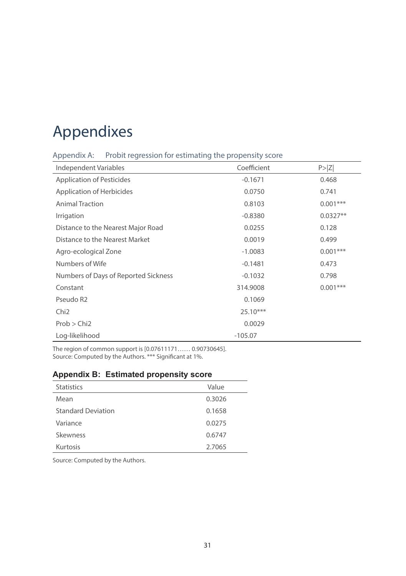## Appendixes

Appendix A: Probit regression for estimating the propensity score

| Independent Variables                | Coefficient | P >  Z     |
|--------------------------------------|-------------|------------|
| <b>Application of Pesticides</b>     | $-0.1671$   | 0.468      |
| <b>Application of Herbicides</b>     | 0.0750      | 0.741      |
| <b>Animal Traction</b>               | 0.8103      | $0.001***$ |
| Irrigation                           | $-0.8380$   | $0.0327**$ |
| Distance to the Nearest Major Road   | 0.0255      | 0.128      |
| Distance to the Nearest Market       | 0.0019      | 0.499      |
| Agro-ecological Zone                 | $-1.0083$   | $0.001***$ |
| Numbers of Wife                      | $-0.1481$   | 0.473      |
| Numbers of Days of Reported Sickness | $-0.1032$   | 0.798      |
| Constant                             | 314.9008    | $0.001***$ |
| Pseudo R <sub>2</sub>                | 0.1069      |            |
| Chi <sub>2</sub>                     | $25.10***$  |            |
| Prob > Chi2                          | 0.0029      |            |
| Log-likelihood                       | $-105.07$   |            |

The region of common support is [0.07611171…… 0.90730645]. Source: Computed by the Authors. \*\*\* Significant at 1%.

#### **Appendix B: Estimated propensity score**

| <b>Statistics</b>         | Value  |
|---------------------------|--------|
| Mean                      | 0.3026 |
| <b>Standard Deviation</b> | 0.1658 |
| Variance                  | 0.0275 |
| Skewness                  | 0.6747 |
| Kurtosis                  | 2.7065 |

Source: Computed by the Authors.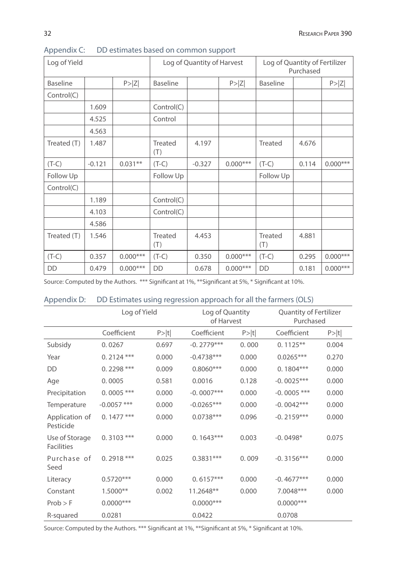| Log of Yield    |          |            | Log of Quantity of Harvest |          |            | Log of Quantity of Fertilizer<br>Purchased |       |            |
|-----------------|----------|------------|----------------------------|----------|------------|--------------------------------------------|-------|------------|
| <b>Baseline</b> |          | P >  Z     | <b>Baseline</b>            |          | P >  Z     | <b>Baseline</b>                            |       | P >  Z     |
| Control(C)      |          |            |                            |          |            |                                            |       |            |
|                 | 1.609    |            | Control(C)                 |          |            |                                            |       |            |
|                 | 4.525    |            | Control                    |          |            |                                            |       |            |
|                 | 4.563    |            |                            |          |            |                                            |       |            |
| Treated (T)     | 1.487    |            | Treated<br>(T)             | 4.197    |            | Treated                                    | 4.676 |            |
| $(T-C)$         | $-0.121$ | $0.031**$  | $(T-C)$                    | $-0.327$ | $0.000***$ | $(T-C)$                                    | 0.114 | $0.000***$ |
| Follow Up       |          |            | Follow Up                  |          |            | Follow Up                                  |       |            |
| Control(C)      |          |            |                            |          |            |                                            |       |            |
|                 | 1.189    |            | Control(C)                 |          |            |                                            |       |            |
|                 | 4.103    |            | Control(C)                 |          |            |                                            |       |            |
|                 | 4.586    |            |                            |          |            |                                            |       |            |
| Treated (T)     | 1.546    |            | Treated<br>(T)             | 4.453    |            | Treated<br>(T)                             | 4.881 |            |
| $(T-C)$         | 0.357    | $0.000***$ | $(T-C)$                    | 0.350    | $0.000***$ | $(T-C)$                                    | 0.295 | $0.000***$ |
| DD              | 0.479    | $0.000***$ | DD                         | 0.678    | $0.000***$ | DD                                         | 0.181 | $0.000***$ |

Appendix C: DD estimates based on common support

Source: Computed by the Authors. \*\*\* Significant at 1%, \*\*Significant at 5%, \* Significant at 10%.

|                                     | Log of Yield  |        | Log of Quantity<br>of Harvest |        | <b>Quantity of Fertilizer</b><br>Purchased |       |
|-------------------------------------|---------------|--------|-------------------------------|--------|--------------------------------------------|-------|
|                                     | Coefficient   | P >  t | Coefficient                   | P >  t | Coefficient                                | P> t  |
| Subsidy                             | 0.0267        | 0.697  | $-0.2779***$                  | 0.000  | $0.1125***$                                | 0.004 |
| Year                                | $0.2124$ ***  | 0.000  | $-0.4738***$                  | 0.000  | $0.0265***$                                | 0.270 |
| <b>DD</b>                           | $0.2298$ ***  | 0.009  | $0.8060***$                   | 0.000  | $0.1804***$                                | 0.000 |
| Age                                 | 0.0005        | 0.581  | 0.0016                        | 0.128  | $-0.0025***$                               | 0.000 |
| Precipitation                       | $0.0005$ ***  | 0.000  | $-0.0007***$                  | 0.000  | $-0.0005$ ***                              | 0.000 |
| Temperature                         | $-0.0057$ *** | 0.000  | $-0.0265***$                  | 0.000  | $-0.0042***$                               | 0.000 |
| Application of<br>Pesticide         | $0.1477$ ***  | 0.000  | $0.0738***$                   | 0.096  | $-0.2159***$                               | 0.000 |
| Use of Storage<br><b>Facilities</b> | $0.3103$ ***  | 0.000  | $0.1643***$                   | 0.003  | $-0.0498*$                                 | 0.075 |
| Purchase of<br>Seed                 | $0.2918$ ***  | 0.025  | $0.3831***$                   | 0.009  | $-0.3156***$                               | 0.000 |
| Literacy                            | $0.5720***$   | 0.000  | $0.6157***$                   | 0.000  | $-0.4677***$                               | 0.000 |
| Constant                            | $1.5000**$    | 0.002  | 11.2648**                     | 0.000  | 7.0048***                                  | 0.000 |
| $Prob$ > F                          | $0.0000$ ***  |        | $0.0000$ ***                  |        | $0.0000$ ***                               |       |
| R-squared                           | 0.0281        |        | 0.0422                        |        | 0.0708                                     |       |

#### Appendix D: DD Estimates using regression approach for all the farmers (OLS)

Source: Computed by the Authors. \*\*\* Significant at 1%, \*\*Significant at 5%, \* Significant at 10%.